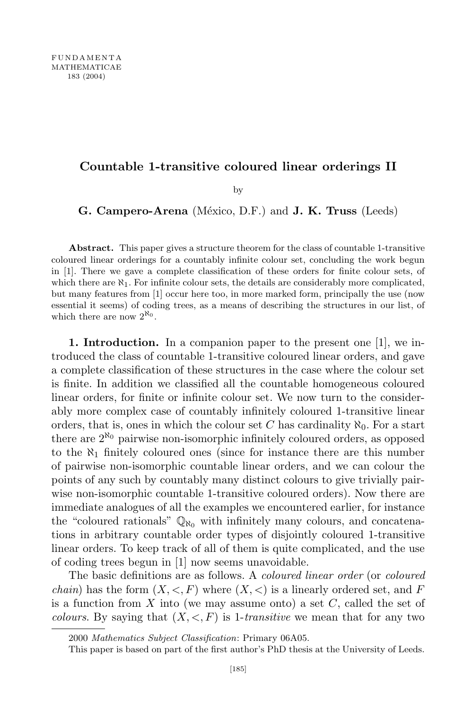## **Countable 1-transitive coloured linear orderings II**

by

**G. Campero-Arena** (M´exico, D.F.) and **J. K. Truss** (Leeds)

**Abstract.** This paper gives a structure theorem for the class of countable 1-transitive coloured linear orderings for a countably infinite colour set, concluding the work begun in [1]. There we gave a complete classification of these orders for finite colour sets, of which there are  $\aleph_1$ . For infinite colour sets, the details are considerably more complicated, but many features from [1] occur here too, in more marked form, principally the use (now essential it seems) of coding trees, as a means of describing the structures in our list, of which there are now  $2^{\kappa_0}$ .

**1. Introduction.** In a companion paper to the present one [1], we introduced the class of countable 1-transitive coloured linear orders, and gave a complete classification of these structures in the case where the colour set is finite. In addition we classified all the countable homogeneous coloured linear orders, for finite or infinite colour set. We now turn to the considerably more complex case of countably infinitely coloured 1-transitive linear orders, that is, ones in which the colour set C has cardinality  $\aleph_0$ . For a start there are 2 *ℵ*<sup>0</sup> pairwise non-isomorphic infinitely coloured orders, as opposed to the *ℵ*<sup>1</sup> finitely coloured ones (since for instance there are this number of pairwise non-isomorphic countable linear orders, and we can colour the points of any such by countably many distinct colours to give trivially pairwise non-isomorphic countable 1-transitive coloured orders). Now there are immediate analogues of all the examples we encountered earlier, for instance the "coloured rationals"  $\mathbb{Q}_{\aleph_0}$  with infinitely many colours, and concatenations in arbitrary countable order types of disjointly coloured 1-transitive linear orders. To keep track of all of them is quite complicated, and the use of coding trees begun in [1] now seems unavoidable.

The basic definitions are as follows. A *coloured linear order* (or *coloured chain*) has the form  $(X, \leq, F)$  where  $(X, \leq)$  is a linearly ordered set, and F is a function from *X* into (we may assume onto) a set *C*, called the set of *colours*. By saying that  $(X, \leq, F)$  is 1-*transitive* we mean that for any two

<sup>2000</sup> *Mathematics Subject Classification*: Primary 06A05.

This paper is based on part of the first author's PhD thesis at the University of Leeds.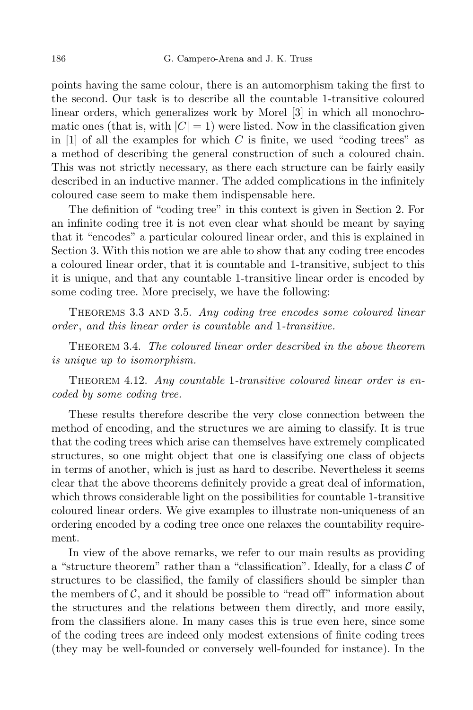points having the same colour, there is an automorphism taking the first to the second. Our task is to describe all the countable 1-transitive coloured linear orders, which generalizes work by Morel [3] in which all monochromatic ones (that is, with  $|C| = 1$ ) were listed. Now in the classification given in [1] of all the examples for which  $C$  is finite, we used "coding trees" as a method of describing the general construction of such a coloured chain. This was not strictly necessary, as there each structure can be fairly easily described in an inductive manner. The added complications in the infinitely coloured case seem to make them indispensable here.

The definition of "coding tree" in this context is given in Section 2. For an infinite coding tree it is not even clear what should be meant by saying that it "encodes" a particular coloured linear order, and this is explained in Section 3. With this notion we are able to show that any coding tree encodes a coloured linear order, that it is countable and 1-transitive, subject to this it is unique, and that any countable 1-transitive linear order is encoded by some coding tree. More precisely, we have the following:

Theorems 3.3 and 3.5. *Any coding tree encodes some coloured linear order* , *and this linear order is countable and* 1*-transitive.*

Theorem 3.4. *The coloured linear order described in the above theorem is unique up to isomorphism.*

Theorem 4.12. *Any countable* 1*-transitive coloured linear order is encoded by some coding tree.*

These results therefore describe the very close connection between the method of encoding, and the structures we are aiming to classify. It is true that the coding trees which arise can themselves have extremely complicated structures, so one might object that one is classifying one class of objects in terms of another, which is just as hard to describe. Nevertheless it seems clear that the above theorems definitely provide a great deal of information, which throws considerable light on the possibilities for countable 1-transitive coloured linear orders. We give examples to illustrate non-uniqueness of an ordering encoded by a coding tree once one relaxes the countability requirement.

In view of the above remarks, we refer to our main results as providing a "structure theorem" rather than a "classification". Ideally, for a class *C* of structures to be classified, the family of classifiers should be simpler than the members of  $\mathcal{C}$ , and it should be possible to "read off" information about the structures and the relations between them directly, and more easily, from the classifiers alone. In many cases this is true even here, since some of the coding trees are indeed only modest extensions of finite coding trees (they may be well-founded or conversely well-founded for instance). In the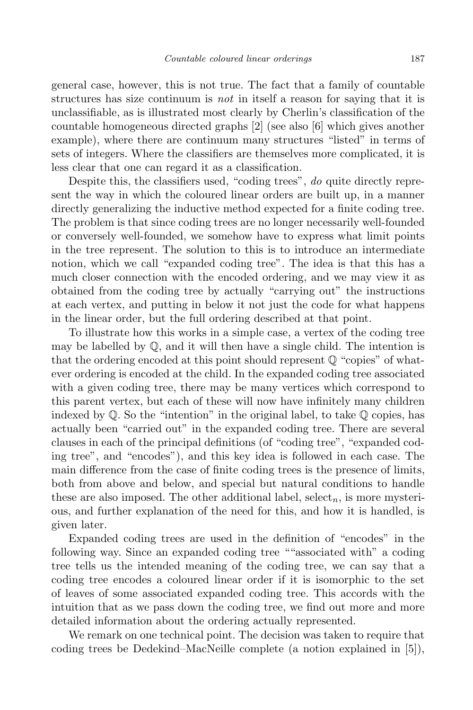general case, however, this is not true. The fact that a family of countable structures has size continuum is *not* in itself a reason for saying that it is unclassifiable, as is illustrated most clearly by Cherlin's classification of the countable homogeneous directed graphs [2] (see also [6] which gives another example), where there are continuum many structures "listed" in terms of sets of integers. Where the classifiers are themselves more complicated, it is less clear that one can regard it as a classification.

Despite this, the classifiers used, "coding trees", *do* quite directly represent the way in which the coloured linear orders are built up, in a manner directly generalizing the inductive method expected for a finite coding tree. The problem is that since coding trees are no longer necessarily well-founded or conversely well-founded, we somehow have to express what limit points in the tree represent. The solution to this is to introduce an intermediate notion, which we call "expanded coding tree". The idea is that this has a much closer connection with the encoded ordering, and we may view it as obtained from the coding tree by actually "carrying out" the instructions at each vertex, and putting in below it not just the code for what happens in the linear order, but the full ordering described at that point.

To illustrate how this works in a simple case, a vertex of the coding tree may be labelled by  $\mathbb{Q}$ , and it will then have a single child. The intention is that the ordering encoded at this point should represent  $\mathbb{Q}$  "copies" of whatever ordering is encoded at the child. In the expanded coding tree associated with a given coding tree, there may be many vertices which correspond to this parent vertex, but each of these will now have infinitely many children indexed by  $\mathbb{Q}$ . So the "intention" in the original label, to take  $\mathbb{Q}$  copies, has actually been "carried out" in the expanded coding tree. There are several clauses in each of the principal definitions (of "coding tree", "expanded coding tree", and "encodes"), and this key idea is followed in each case. The main difference from the case of finite coding trees is the presence of limits, both from above and below, and special but natural conditions to handle these are also imposed. The other additional label, select*n*, is more mysterious, and further explanation of the need for this, and how it is handled, is given later.

Expanded coding trees are used in the definition of "encodes" in the following way. Since an expanded coding tree ""associated with" a coding tree tells us the intended meaning of the coding tree, we can say that a coding tree encodes a coloured linear order if it is isomorphic to the set of leaves of some associated expanded coding tree. This accords with the intuition that as we pass down the coding tree, we find out more and more detailed information about the ordering actually represented.

We remark on one technical point. The decision was taken to require that coding trees be Dedekind–MacNeille complete (a notion explained in [5]),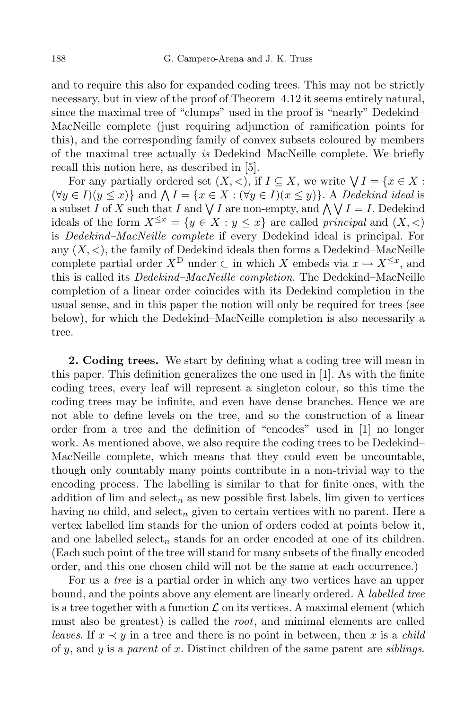and to require this also for expanded coding trees. This may not be strictly necessary, but in view of the proof of Theorem 4.12 it seems entirely natural, since the maximal tree of "clumps" used in the proof is "nearly" Dedekind– MacNeille complete (just requiring adjunction of ramification points for this), and the corresponding family of convex subsets coloured by members of the maximal tree actually *is* Dedekind–MacNeille complete. We briefly recall this notion here, as described in [5].

For any partially ordered set  $(X, <)$ , if  $I \subseteq X$ , we write  $\bigvee I = \{x \in X : X \in X\}$  $(\forall y \in I)(y \leq x)$ } and  $\bigwedge I = \{x \in X : (\forall y \in I)(x \leq y)\}\.$  A Dedekind ideal is a subset *I* of *X* such that *I* and  $\bigvee I$  are non-empty, and  $\bigwedge \bigvee I = I$ . Dedekind ideals of the form  $X^{\leq x} = \{y \in X : y \leq x\}$  are called *principal* and  $(X, \leq)$ is *Dedekind–MacNeille complete* if every Dedekind ideal is principal. For any  $(X, \leq)$ , the family of Dedekind ideals then forms a Dedekind–MacNeille complete partial order  $X^D$  under  $\subset$  in which  $X$  embeds via  $x \mapsto X^{\leq x}$ , and this is called its *Dedekind–MacNeille completion*. The Dedekind–MacNeille completion of a linear order coincides with its Dedekind completion in the usual sense, and in this paper the notion will only be required for trees (see below), for which the Dedekind–MacNeille completion is also necessarily a tree.

**2. Coding trees.** We start by defining what a coding tree will mean in this paper. This definition generalizes the one used in [1]. As with the finite coding trees, every leaf will represent a singleton colour, so this time the coding trees may be infinite, and even have dense branches. Hence we are not able to define levels on the tree, and so the construction of a linear order from a tree and the definition of "encodes" used in [1] no longer work. As mentioned above, we also require the coding trees to be Dedekind– MacNeille complete, which means that they could even be uncountable, though only countably many points contribute in a non-trivial way to the encoding process. The labelling is similar to that for finite ones, with the addition of lim and select<sub>n</sub> as new possible first labels, lim given to vertices having no child, and select*<sup>n</sup>* given to certain vertices with no parent. Here a vertex labelled lim stands for the union of orders coded at points below it, and one labelled select<sub>n</sub> stands for an order encoded at one of its children. (Each such point of the tree will stand for many subsets of the finally encoded order, and this one chosen child will not be the same at each occurrence.)

For us a *tree* is a partial order in which any two vertices have an upper bound, and the points above any element are linearly ordered. A *labelled tree* is a tree together with a function  $\mathcal L$  on its vertices. A maximal element (which must also be greatest) is called the *root*, and minimal elements are called *leaves.* If  $x \prec y$  in a tree and there is no point in between, then x is a *child* of *y*, and *y* is a *parent* of *x*. Distinct children of the same parent are *siblings*.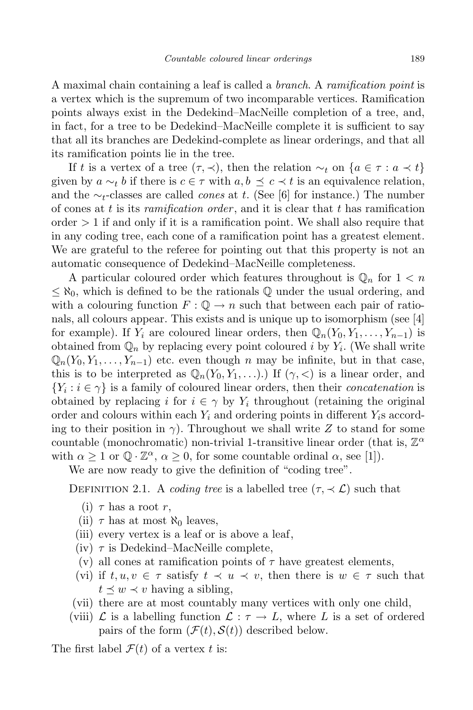A maximal chain containing a leaf is called a *branch*. A *ramification point* is a vertex which is the supremum of two incomparable vertices. Ramification points always exist in the Dedekind–MacNeille completion of a tree, and, in fact, for a tree to be Dedekind–MacNeille complete it is sufficient to say that all its branches are Dedekind-complete as linear orderings, and that all its ramification points lie in the tree.

If *t* is a vertex of a tree  $(\tau, \prec)$ , then the relation  $\sim_t$  on  $\{a \in \tau : a \prec t\}$ given by  $a \sim_t b$  if there is  $c \in \tau$  with  $a, b \preceq c \prec t$  is an equivalence relation, and the *∼t*-classes are called *cones* at *t*. (See [6] for instance.) The number of cones at *t* is its *ramification order* , and it is clear that *t* has ramification order *>* 1 if and only if it is a ramification point. We shall also require that in any coding tree, each cone of a ramification point has a greatest element. We are grateful to the referee for pointing out that this property is not an automatic consequence of Dedekind–MacNeille completeness.

A particular coloured order which features throughout is  $\mathbb{Q}_n$  for  $1 < n$ *≤ ℵ*0, which is defined to be the rationals Q under the usual ordering, and with a colouring function  $F: \mathbb{Q} \to n$  such that between each pair of rationals, all colours appear. This exists and is unique up to isomorphism (see [4] for example). If  $Y_i$  are coloured linear orders, then  $\mathbb{Q}_n(Y_0, Y_1, \ldots, Y_{n-1})$  is obtained from  $\mathbb{Q}_n$  by replacing every point coloured *i* by  $Y_i$ . (We shall write  $\mathbb{Q}_n(Y_0, Y_1, \ldots, Y_{n-1})$  etc. even though *n* may be infinite, but in that case, this is to be interpreted as  $\mathbb{Q}_n(Y_0, Y_1, \ldots)$ .) If  $(\gamma, \leq)$  is a linear order, and  ${Y_i : i \in \gamma}$  is a family of coloured linear orders, then their *concatenation* is obtained by replacing *i* for  $i \in \gamma$  by  $Y_i$  throughout (retaining the original order and colours within each *Y<sup>i</sup>* and ordering points in different *Yi*s according to their position in *γ*). Throughout we shall write *Z* to stand for some countable (monochromatic) non-trivial 1-transitive linear order (that is, Z *α* with  $\alpha \geq 1$  or  $\mathbb{Q} \cdot \mathbb{Z}^{\alpha}$ ,  $\alpha \geq 0$ , for some countable ordinal  $\alpha$ , see [1]).

We are now ready to give the definition of "coding tree".

DEFINITION 2.1. A *coding tree* is a labelled tree  $(\tau, \prec \mathcal{L})$  such that

- (i)  $\tau$  has a root  $r$ ,
- (ii)  $\tau$  has at most  $\aleph_0$  leaves,
- (iii) every vertex is a leaf or is above a leaf,
- $(iv)$   $\tau$  is Dedekind–MacNeille complete,
- (v) all cones at ramification points of  $\tau$  have greatest elements,
- (vi) if  $t, u, v \in \tau$  satisfy  $t \prec u \prec v$ , then there is  $w \in \tau$  such that  $t \leq w \leq v$  having a sibling,
- (vii) there are at most countably many vertices with only one child,
- (viii)  $\mathcal{L}$  is a labelling function  $\mathcal{L} : \tau \to L$ , where L is a set of ordered pairs of the form  $(\mathcal{F}(t), \mathcal{S}(t))$  described below.

The first label  $\mathcal{F}(t)$  of a vertex *t* is: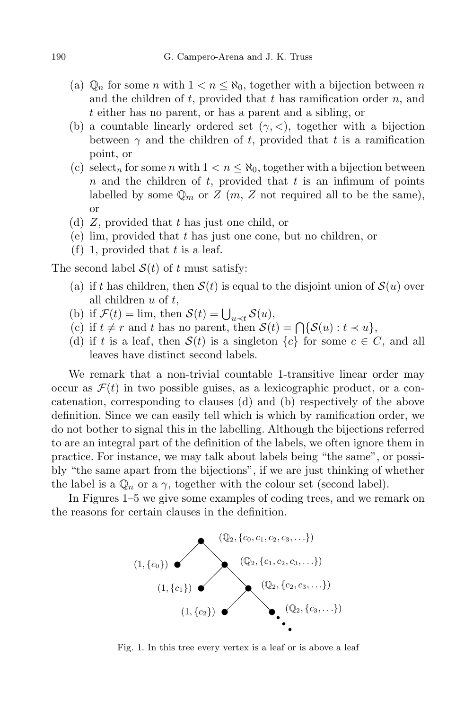- (a)  $\mathbb{Q}_n$  for some *n* with  $1 < n < \aleph_0$ , together with a bijection between *n* and the children of *t*, provided that *t* has ramification order *n*, and *t* either has no parent, or has a parent and a sibling, or
- (b) a countable linearly ordered set  $(\gamma, \langle \rangle)$ , together with a bijection between  $\gamma$  and the children of *t*, provided that *t* is a ramification point, or
- (c) select<sub>n</sub> for some *n* with  $1 < n \leq \aleph_0$ , together with a bijection between *n* and the children of *t*, provided that *t* is an infimum of points labelled by some  $\mathbb{Q}_m$  or  $Z(m, Z \text{ not required all to be the same}),$ or
- (d) *Z*, provided that *t* has just one child, or
- (e) lim, provided that *t* has just one cone, but no children, or
- (f) 1, provided that *t* is a leaf.

The second label  $S(t)$  of t must satisfy:

- (a) if *t* has children, then  $S(t)$  is equal to the disjoint union of  $S(u)$  over all children *u* of *t*,
- (b) if  $\mathcal{F}(t) = \lim_{h \to 0^+} \text{then } \mathcal{S}(t) = \bigcup_{u \prec t} \mathcal{S}(u),$
- (c) if  $t \neq r$  and  $t$  has no parent, then  $\mathcal{S}(t) = \bigcap \{ \mathcal{S}(u) : t \prec u \},\$
- (d) if *t* is a leaf, then  $S(t)$  is a singleton  $\{c\}$  for some  $c \in C$ , and all leaves have distinct second labels.

We remark that a non-trivial countable 1-transitive linear order may occur as  $\mathcal{F}(t)$  in two possible guises, as a lexicographic product, or a concatenation, corresponding to clauses (d) and (b) respectively of the above definition. Since we can easily tell which is which by ramification order, we do not bother to signal this in the labelling. Although the bijections referred to are an integral part of the definition of the labels, we often ignore them in practice. For instance, we may talk about labels being "the same", or possibly "the same apart from the bijections", if we are just thinking of whether the label is a  $\mathbb{Q}_n$  or a  $\gamma$ , together with the colour set (second label).

In Figures 1–5 we give some examples of coding trees, and we remark on the reasons for certain clauses in the definition.



Fig. 1. In this tree every vertex is a leaf or is above a leaf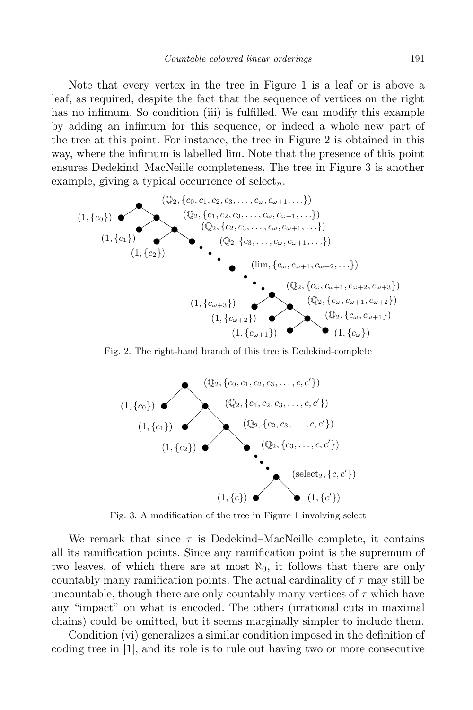Note that every vertex in the tree in Figure 1 is a leaf or is above a leaf, as required, despite the fact that the sequence of vertices on the right has no infimum. So condition (iii) is fulfilled. We can modify this example by adding an infimum for this sequence, or indeed a whole new part of the tree at this point. For instance, the tree in Figure 2 is obtained in this way, where the infimum is labelled lim. Note that the presence of this point ensures Dedekind–MacNeille completeness. The tree in Figure 3 is another example, giving a typical occurrence of select*n*.



Fig. 2. The right-hand branch of this tree is Dedekind-complete



Fig. 3. A modification of the tree in Figure 1 involving select

We remark that since  $\tau$  is Dedekind–MacNeille complete, it contains all its ramification points. Since any ramification point is the supremum of two leaves, of which there are at most  $\aleph_0$ , it follows that there are only countably many ramification points. The actual cardinality of *τ* may still be uncountable, though there are only countably many vertices of  $\tau$  which have any "impact" on what is encoded. The others (irrational cuts in maximal chains) could be omitted, but it seems marginally simpler to include them.

Condition (vi) generalizes a similar condition imposed in the definition of coding tree in [1], and its role is to rule out having two or more consecutive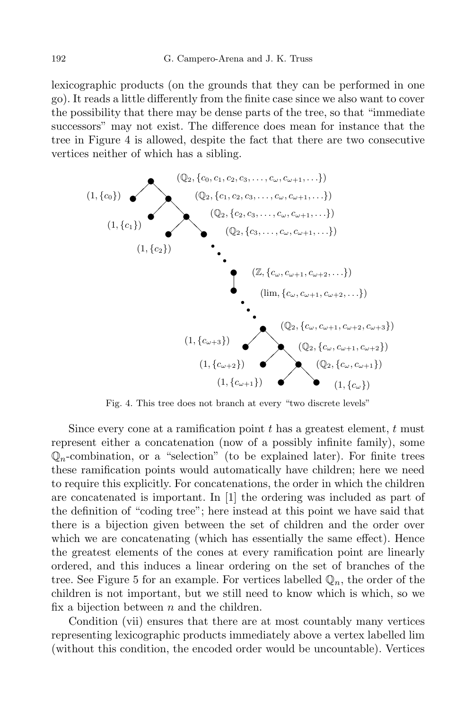lexicographic products (on the grounds that they can be performed in one go). It reads a little differently from the finite case since we also want to cover the possibility that there may be dense parts of the tree, so that "immediate successors" may not exist. The difference does mean for instance that the tree in Figure 4 is allowed, despite the fact that there are two consecutive vertices neither of which has a sibling.



Fig. 4. This tree does not branch at every "two discrete levels"

Since every cone at a ramification point *t* has a greatest element, *t* must represent either a concatenation (now of a possibly infinite family), some  $\mathbb{Q}_n$ -combination, or a "selection" (to be explained later). For finite trees these ramification points would automatically have children; here we need to require this explicitly. For concatenations, the order in which the children are concatenated is important. In [1] the ordering was included as part of the definition of "coding tree"; here instead at this point we have said that there is a bijection given between the set of children and the order over which we are concatenating (which has essentially the same effect). Hence the greatest elements of the cones at every ramification point are linearly ordered, and this induces a linear ordering on the set of branches of the tree. See Figure 5 for an example. For vertices labelled  $\mathbb{Q}_n$ , the order of the children is not important, but we still need to know which is which, so we fix a bijection between *n* and the children.

Condition (vii) ensures that there are at most countably many vertices representing lexicographic products immediately above a vertex labelled lim (without this condition, the encoded order would be uncountable). Vertices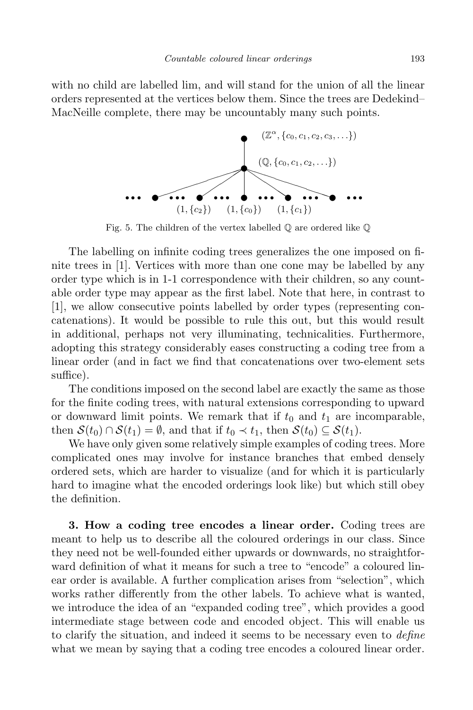with no child are labelled lim, and will stand for the union of all the linear orders represented at the vertices below them. Since the trees are Dedekind– MacNeille complete, there may be uncountably many such points.



Fig. 5. The children of the vertex labelled  $\mathbb Q$  are ordered like  $\mathbb Q$ 

The labelling on infinite coding trees generalizes the one imposed on finite trees in [1]. Vertices with more than one cone may be labelled by any order type which is in 1-1 correspondence with their children, so any countable order type may appear as the first label. Note that here, in contrast to [1], we allow consecutive points labelled by order types (representing concatenations). It would be possible to rule this out, but this would result in additional, perhaps not very illuminating, technicalities. Furthermore, adopting this strategy considerably eases constructing a coding tree from a linear order (and in fact we find that concatenations over two-element sets suffice).

The conditions imposed on the second label are exactly the same as those for the finite coding trees, with natural extensions corresponding to upward or downward limit points. We remark that if  $t_0$  and  $t_1$  are incomparable, then  $S(t_0) \cap S(t_1) = \emptyset$ , and that if  $t_0 \prec t_1$ , then  $S(t_0) \subseteq S(t_1)$ .

We have only given some relatively simple examples of coding trees. More complicated ones may involve for instance branches that embed densely ordered sets, which are harder to visualize (and for which it is particularly hard to imagine what the encoded orderings look like) but which still obey the definition.

**3. How a coding tree encodes a linear order.** Coding trees are meant to help us to describe all the coloured orderings in our class. Since they need not be well-founded either upwards or downwards, no straightforward definition of what it means for such a tree to "encode" a coloured linear order is available. A further complication arises from "selection", which works rather differently from the other labels. To achieve what is wanted, we introduce the idea of an "expanded coding tree", which provides a good intermediate stage between code and encoded object. This will enable us to clarify the situation, and indeed it seems to be necessary even to *define* what we mean by saying that a coding tree encodes a coloured linear order.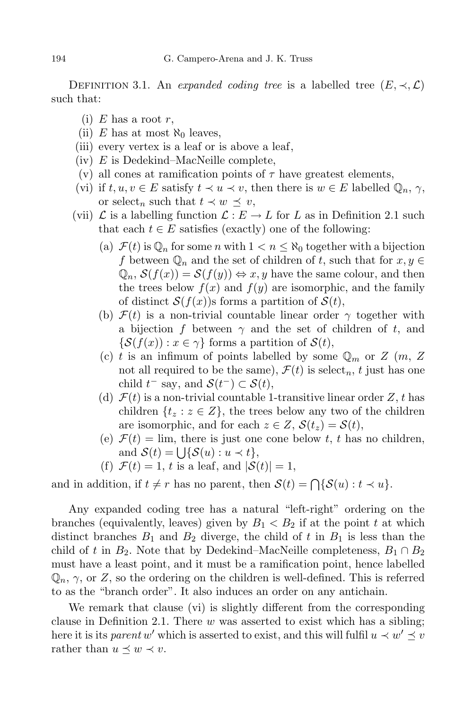DEFINITION 3.1. An *expanded coding tree* is a labelled tree  $(E, \prec, \mathcal{L})$ such that:

- (i)  $E$  has a root  $r$ ,
- (ii) *E* has at most  $\aleph_0$  leaves,
- (iii) every vertex is a leaf or is above a leaf,
- (iv) *E* is Dedekind–MacNeille complete,
- (v) all cones at ramification points of  $\tau$  have greatest elements,
- (vi) if  $t, u, v \in E$  satisfy  $t \prec u \prec v$ , then there is  $w \in E$  labelled  $\mathbb{Q}_n, \gamma$ , or select<sub>n</sub> such that  $t \prec w \preceq v$ ,
- (vii)  $\mathcal{L}$  is a labelling function  $\mathcal{L}: E \to L$  for L as in Definition 2.1 such that each  $t \in E$  satisfies (exactly) one of the following:
	- (a)  $\mathcal{F}(t)$  is  $\mathbb{Q}_n$  for some *n* with  $1 < n \leq \aleph_0$  together with a bijection *f* between  $\mathbb{Q}_n$  and the set of children of *t*, such that for  $x, y \in$  $\mathbb{Q}_n$ ,  $\mathcal{S}(f(x)) = \mathcal{S}(f(y)) \Leftrightarrow x, y$  have the same colour, and then the trees below  $f(x)$  and  $f(y)$  are isomorphic, and the family of distinct  $S(f(x))$ s forms a partition of  $S(t)$ ,
	- (b)  $\mathcal{F}(t)$  is a non-trivial countable linear order  $\gamma$  together with a bijection *f* between *γ* and the set of children of *t*, and  $\{S(f(x)) : x \in \gamma\}$  forms a partition of  $S(t)$ ,
	- (c) *t* is an infimum of points labelled by some  $\mathbb{Q}_m$  or  $Z(m, Z)$ not all required to be the same),  $\mathcal{F}(t)$  is select<sub>n</sub>, *t* just has one  $\text{child } t^- \text{ say, and } \mathcal{S}(t^-) \subset \mathcal{S}(t),$
	- (d)  $\mathcal{F}(t)$  is a non-trivial countable 1-transitive linear order Z, t has children  $\{t_z : z \in Z\}$ , the trees below any two of the children are isomorphic, and for each  $z \in Z$ ,  $S(t_z) = S(t)$ ,
	- (e)  $\mathcal{F}(t) = \lim$ , there is just one cone below *t*, *t* has no children, and  $\mathcal{S}(t) = \bigcup \{ \mathcal{S}(u) : u \prec t \},\$
	- (f)  $\mathcal{F}(t) = 1$ , *t* is a leaf, and  $|\mathcal{S}(t)| = 1$ ,

and in addition, if  $t \neq r$  has no parent, then  $\mathcal{S}(t) = \bigcap \{ \mathcal{S}(u) : t \prec u \}.$ 

Any expanded coding tree has a natural "left-right" ordering on the branches (equivalently, leaves) given by  $B_1 < B_2$  if at the point t at which distinct branches  $B_1$  and  $B_2$  diverge, the child of t in  $B_1$  is less than the child of *t* in  $B_2$ . Note that by Dedekind–MacNeille completeness,  $B_1 \cap B_2$ must have a least point, and it must be a ramification point, hence labelled  $\mathbb{Q}_n$ ,  $\gamma$ , or Z, so the ordering on the children is well-defined. This is referred to as the "branch order". It also induces an order on any antichain.

We remark that clause (vi) is slightly different from the corresponding clause in Definition 2.1. There *w* was asserted to exist which has a sibling; here it is its *parent*  $w'$  which is asserted to exist, and this will fulfil  $u \prec w' \preceq v$ rather than  $u \preceq w \prec v$ .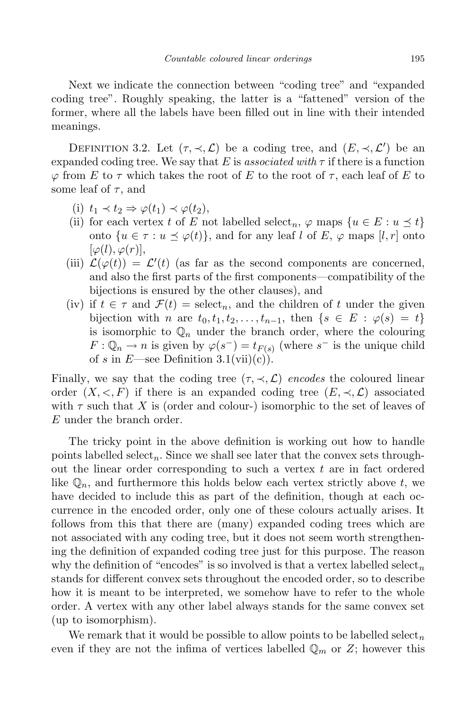Next we indicate the connection between "coding tree" and "expanded coding tree". Roughly speaking, the latter is a "fattened" version of the former, where all the labels have been filled out in line with their intended meanings.

DEFINITION 3.2. Let  $(\tau, \prec, \mathcal{L})$  be a coding tree, and  $(E, \prec, \mathcal{L}')$  be an expanded coding tree. We say that  $E$  is *associated with*  $\tau$  if there is a function *ϕ* from *E* to *τ* which takes the root of *E* to the root of *τ* , each leaf of *E* to some leaf of  $\tau$ , and

- (i)  $t_1$  *≺*  $t_2$  ⇒  $\varphi(t_1)$  *≺*  $\varphi(t_2)$ ,
- (ii) for each vertex *t* of *E* not labelled select<sub>n</sub>,  $\varphi$  maps  $\{u \in E : u \leq t\}$ onto  $\{u \in \tau : u \leq \varphi(t)\}\$ , and for any leaf *l* of *E*,  $\varphi$  maps  $[l, r]$  onto  $[\varphi(l), \varphi(r)],$
- (iii)  $\mathcal{L}(\varphi(t)) = \mathcal{L}'(t)$  (as far as the second components are concerned, and also the first parts of the first components—compatibility of the bijections is ensured by the other clauses), and
- (iv) if  $t \in \tau$  and  $\mathcal{F}(t) = \mathrm{select}_n$ , and the children of *t* under the given bijection with *n* are  $t_0, t_1, t_2, \ldots, t_{n-1}$ , then  $\{s \in E : \varphi(s) = t\}$ is isomorphic to  $\mathbb{Q}_n$  under the branch order, where the colouring  $F: \mathbb{Q}_n \to n$  is given by  $\varphi(s^-) = t_{F(s)}$  (where  $s^-$  is the unique child of *s* in *E*—see Definition  $3.1(vii)(c)$ .

Finally, we say that the coding tree  $(\tau, \prec, \mathcal{L})$  *encodes* the coloured linear order  $(X, \leq, F)$  if there is an expanded coding tree  $(E, \preceq, \mathcal{L})$  associated with  $\tau$  such that X is (order and colour-) isomorphic to the set of leaves of *E* under the branch order.

The tricky point in the above definition is working out how to handle points labelled select<sub>n</sub>. Since we shall see later that the convex sets throughout the linear order corresponding to such a vertex *t* are in fact ordered like  $\mathbb{Q}_n$ , and furthermore this holds below each vertex strictly above  $t$ , we have decided to include this as part of the definition, though at each occurrence in the encoded order, only one of these colours actually arises. It follows from this that there are (many) expanded coding trees which are not associated with any coding tree, but it does not seem worth strengthening the definition of expanded coding tree just for this purpose. The reason why the definition of "encodes" is so involved is that a vertex labelled select<sub>n</sub> stands for different convex sets throughout the encoded order, so to describe how it is meant to be interpreted, we somehow have to refer to the whole order. A vertex with any other label always stands for the same convex set (up to isomorphism).

We remark that it would be possible to allow points to be labelled select*<sup>n</sup>* even if they are not the infima of vertices labelled  $\mathbb{Q}_m$  or  $Z$ ; however this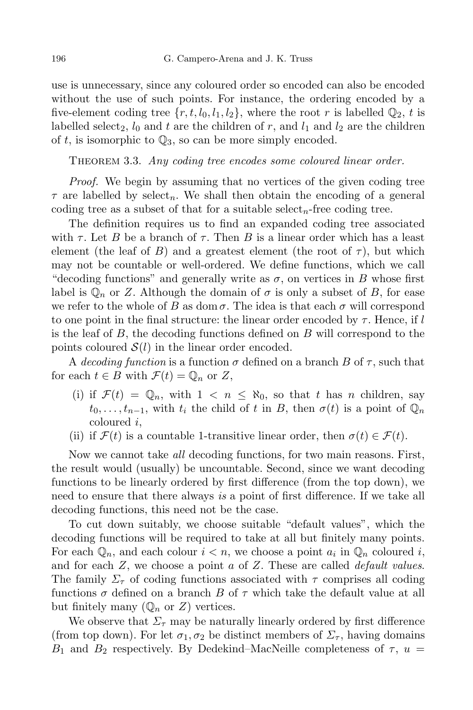use is unnecessary, since any coloured order so encoded can also be encoded without the use of such points. For instance, the ordering encoded by a five-element coding tree  $\{r, t, l_0, l_1, l_2\}$ , where the root *r* is labelled  $\mathbb{Q}_2$ , *t* is labelled select<sub>2</sub>,  $l_0$  and t are the children of r, and  $l_1$  and  $l_2$  are the children of  $t$ , is isomorphic to  $\mathbb{Q}_3$ , so can be more simply encoded.

Theorem 3.3. *Any coding tree encodes some coloured linear order.*

*Proof.* We begin by assuming that no vertices of the given coding tree  $\tau$  are labelled by select<sub>n</sub>. We shall then obtain the encoding of a general coding tree as a subset of that for a suitable select<sub>n</sub>-free coding tree.

The definition requires us to find an expanded coding tree associated with  $\tau$ . Let *B* be a branch of  $\tau$ . Then *B* is a linear order which has a least element (the leaf of *B*) and a greatest element (the root of  $\tau$ ), but which may not be countable or well-ordered. We define functions, which we call "decoding functions" and generally write as  $\sigma$ , on vertices in *B* whose first label is  $\mathbb{Q}_n$  or *Z*. Although the domain of  $\sigma$  is only a subset of *B*, for ease we refer to the whole of *B* as dom  $\sigma$ . The idea is that each  $\sigma$  will correspond to one point in the final structure: the linear order encoded by *τ* . Hence, if *l* is the leaf of *B*, the decoding functions defined on *B* will correspond to the points coloured  $S(l)$  in the linear order encoded.

A *decoding function* is a function  $\sigma$  defined on a branch  $B$  of  $\tau$ , such that for each  $t \in B$  with  $\mathcal{F}(t) = \mathbb{Q}_n$  or  $Z$ ,

- (i) if  $\mathcal{F}(t) = \mathbb{Q}_n$ , with  $1 < n \leq \aleph_0$ , so that *t* has *n* children, say  $t_0, \ldots, t_{n-1}$ , with  $t_i$  the child of  $t$  in  $B$ , then  $\sigma(t)$  is a point of  $\mathbb{Q}_n$ coloured *i*,
- (ii) if  $\mathcal{F}(t)$  is a countable 1-transitive linear order, then  $\sigma(t) \in \mathcal{F}(t)$ .

Now we cannot take *all* decoding functions, for two main reasons. First, the result would (usually) be uncountable. Second, since we want decoding functions to be linearly ordered by first difference (from the top down), we need to ensure that there always *is* a point of first difference. If we take all decoding functions, this need not be the case.

To cut down suitably, we choose suitable "default values", which the decoding functions will be required to take at all but finitely many points. For each  $\mathbb{Q}_n$ , and each colour  $i < n$ , we choose a point  $a_i$  in  $\mathbb{Q}_n$  coloured *i*, and for each *Z*, we choose a point *a* of *Z*. These are called *default values*. The family  $\Sigma_{\tau}$  of coding functions associated with  $\tau$  comprises all coding functions  $\sigma$  defined on a branch *B* of  $\tau$  which take the default value at all but finitely many  $(\mathbb{Q}_n$  or  $Z)$  vertices.

We observe that  $\Sigma_{\tau}$  may be naturally linearly ordered by first difference (from top down). For let  $\sigma_1, \sigma_2$  be distinct members of  $\Sigma_{\tau}$ , having domains *B*<sub>1</sub> and *B*<sub>2</sub> respectively. By Dedekind–MacNeille completeness of  $τ$ ,  $u$  =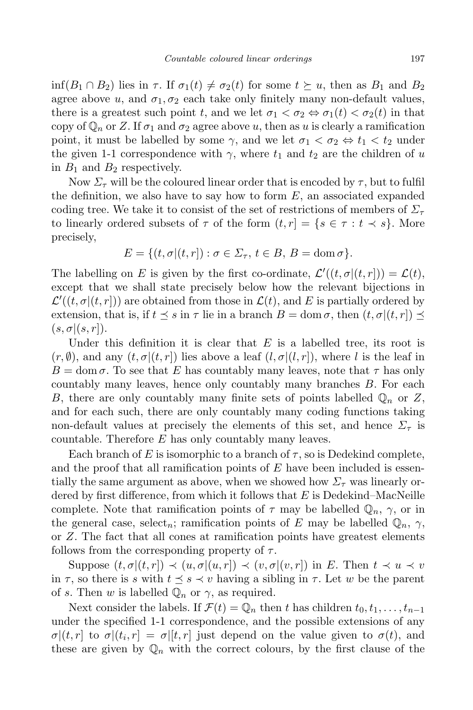inf( $B_1 \cap B_2$ ) lies in  $\tau$ . If  $\sigma_1(t) \neq \sigma_2(t)$  for some  $t \succeq u$ , then as  $B_1$  and  $B_2$ agree above *u*, and  $\sigma_1$ ,  $\sigma_2$  each take only finitely many non-default values, there is a greatest such point *t*, and we let  $\sigma_1 < \sigma_2 \Leftrightarrow \sigma_1(t) < \sigma_2(t)$  in that copy of  $\mathbb{Q}_n$  or Z. If  $\sigma_1$  and  $\sigma_2$  agree above *u*, then as *u* is clearly a ramification point, it must be labelled by some  $\gamma$ , and we let  $\sigma_1 < \sigma_2 \Leftrightarrow t_1 < t_2$  under the given 1-1 correspondence with  $\gamma$ , where  $t_1$  and  $t_2$  are the children of *u* in  $B_1$  and  $B_2$  respectively.

Now  $\Sigma_{\tau}$  will be the coloured linear order that is encoded by  $\tau$ , but to fulfil the definition, we also have to say how to form *E*, an associated expanded coding tree. We take it to consist of the set of restrictions of members of *Σ<sup>τ</sup>* to linearly ordered subsets of  $\tau$  of the form  $(t, r) = \{s \in \tau : t \prec s\}$ . More precisely,

$$
E = \{(t, \sigma | (t, r]) : \sigma \in \Sigma_{\tau}, t \in B, B = \text{dom}\,\sigma\}.
$$

The labelling on *E* is given by the first co-ordinate,  $\mathcal{L}'((t, \sigma | (t, r])) = \mathcal{L}(t)$ , except that we shall state precisely below how the relevant bijections in  $\mathcal{L}'((t, \sigma | (t, r]))$  are obtained from those in  $\mathcal{L}(t)$ , and *E* is partially ordered by extension, that is, if  $t \leq s$  in  $\tau$  lie in a branch  $B = \text{dom }\sigma$ , then  $(t, \sigma | (t, r]) \leq$  $(s, \sigma | (s, r]).$ 

Under this definition it is clear that *E* is a labelled tree, its root is  $(r, \emptyset)$ , and any  $(t, \sigma | (t, r])$  lies above a leaf  $(l, \sigma | (l, r])$ , where *l* is the leaf in  $B = \text{dom } \sigma$ . To see that *E* has countably many leaves, note that  $\tau$  has only countably many leaves, hence only countably many branches *B*. For each *B*, there are only countably many finite sets of points labelled  $\mathbb{Q}_n$  or  $Z$ , and for each such, there are only countably many coding functions taking non-default values at precisely the elements of this set, and hence  $\Sigma_{\tau}$  is countable. Therefore *E* has only countably many leaves.

Each branch of *E* is isomorphic to a branch of  $\tau$ , so is Dedekind complete, and the proof that all ramification points of *E* have been included is essentially the same argument as above, when we showed how  $\Sigma_{\tau}$  was linearly ordered by first difference, from which it follows that *E* is Dedekind–MacNeille complete. Note that ramification points of  $\tau$  may be labelled  $\mathbb{Q}_n$ ,  $\gamma$ , or in the general case, select<sub>n</sub>; ramification points of *E* may be labelled  $\mathbb{Q}_n$ ,  $\gamma$ , or *Z*. The fact that all cones at ramification points have greatest elements follows from the corresponding property of *τ* .

Suppose  $(t, \sigma | (t, r]) \prec (u, \sigma | (u, r]) \prec (v, \sigma | (v, r])$  in E. Then  $t \prec u \prec v$ in  $\tau$ , so there is *s* with  $t \leq s \prec v$  having a sibling in  $\tau$ . Let *w* be the parent of *s*. Then *w* is labelled  $\mathbb{Q}_n$  or  $\gamma$ , as required.

Next consider the labels. If  $\mathcal{F}(t) = \mathbb{Q}_n$  then *t* has children  $t_0, t_1, \ldots, t_{n-1}$ under the specified 1-1 correspondence, and the possible extensions of any  $\sigma$ *|*(*t*, *r*] to  $\sigma$ *|*(*t*<sub>*i*</sub>, *r*] =  $\sigma$ *|*[*t*, *r*] just depend on the value given to  $\sigma$ (*t*), and these are given by  $\mathbb{Q}_n$  with the correct colours, by the first clause of the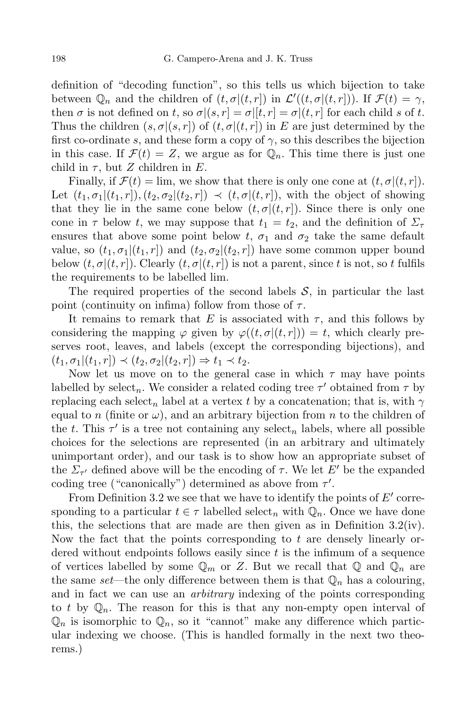definition of "decoding function", so this tells us which bijection to take between  $\mathbb{Q}_n$  and the children of  $(t, \sigma | (t, r])$  in  $\mathcal{L}'((t, \sigma | (t, r]))$ . If  $\mathcal{F}(t) = \gamma$ , then  $\sigma$  is not defined on *t*, so  $\sigma|(s,r| = \sigma|[t,r] = \sigma|(t,r|$  for each child *s* of *t*. Thus the children  $(s, \sigma | (s, r])$  of  $(t, \sigma | (t, r])$  in *E* are just determined by the first co-ordinate *s*, and these form a copy of  $\gamma$ , so this describes the bijection in this case. If  $\mathcal{F}(t) = Z$ , we argue as for  $\mathbb{Q}_n$ . This time there is just one child in  $\tau$ , but *Z* children in *E*.

Finally, if  $\mathcal{F}(t) = \lim$ , we show that there is only one cone at  $(t, \sigma | (t, r])$ . Let  $(t_1,\sigma_1|(t_1,r]), (t_2,\sigma_2|(t_2,r]) \prec (t,\sigma|(t,r]),$  with the object of showing that they lie in the same cone below  $(t, \sigma | (t, r])$ . Since there is only one cone in  $\tau$  below *t*, we may suppose that  $t_1 = t_2$ , and the definition of  $\Sigma_{\tau}$ ensures that above some point below *t*,  $\sigma_1$  and  $\sigma_2$  take the same default value, so  $(t_1, \sigma_1 | (t_1, r))$  and  $(t_2, \sigma_2 | (t_2, r))$  have some common upper bound below  $(t, \sigma | (t, r])$ . Clearly  $(t, \sigma | (t, r])$  is not a parent, since *t* is not, so *t* fulfils the requirements to be labelled lim.

The required properties of the second labels *S*, in particular the last point (continuity on infima) follow from those of *τ* .

It remains to remark that *E* is associated with  $\tau$ , and this follows by considering the mapping  $\varphi$  given by  $\varphi((t, \sigma | (t, r])) = t$ , which clearly preserves root, leaves, and labels (except the corresponding bijections), and  $(t_1, \sigma_1 | (t_1, r]) \prec (t_2, \sigma_2 | (t_2, r]) \Rightarrow t_1 \prec t_2.$ 

Now let us move on to the general case in which *τ* may have points labelled by select<sub>n</sub>. We consider a related coding tree  $\tau'$  obtained from  $\tau$  by replacing each select<sub>*n*</sub> label at a vertex *t* by a concatenation; that is, with  $\gamma$ equal to *n* (finite or  $\omega$ ), and an arbitrary bijection from *n* to the children of the *t*. This  $\tau'$  is a tree not containing any select<sub>n</sub> labels, where all possible choices for the selections are represented (in an arbitrary and ultimately unimportant order), and our task is to show how an appropriate subset of the  $\Sigma_{\tau'}$  defined above will be the encoding of  $\tau$ . We let  $E'$  be the expanded coding tree ("canonically") determined as above from  $\tau'$ .

From Definition 3.2 we see that we have to identify the points of  $E'$  corresponding to a particular  $t \in \tau$  labelled select<sub>n</sub> with  $\mathbb{Q}_n$ . Once we have done this, the selections that are made are then given as in Definition  $3.2(iv)$ . Now the fact that the points corresponding to *t* are densely linearly ordered without endpoints follows easily since *t* is the infimum of a sequence of vertices labelled by some  $\mathbb{Q}_m$  or Z. But we recall that  $\mathbb{Q}$  and  $\mathbb{Q}_n$  are the same *set*—the only difference between them is that  $\mathbb{Q}_n$  has a colouring, and in fact we can use an *arbitrary* indexing of the points corresponding to *t* by  $\mathbb{Q}_n$ . The reason for this is that any non-empty open interval of  $\mathbb{Q}_n$  is isomorphic to  $\mathbb{Q}_n$ , so it "cannot" make any difference which particular indexing we choose. (This is handled formally in the next two theorems.)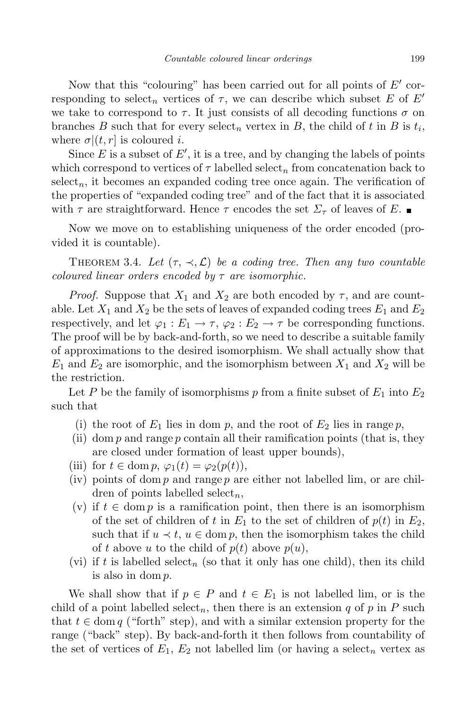Now that this "colouring" has been carried out for all points of  $E'$  corresponding to select<sub>n</sub> vertices of  $\tau$ , we can describe which subset E of E<sup>*i*</sup> we take to correspond to  $\tau$ . It just consists of all decoding functions  $\sigma$  on branches *B* such that for every select<sub>n</sub> vertex in *B*, the child of *t* in *B* is  $t_i$ , where  $\sigma$  $(t, r)$  is coloured *i*.

Since  $E$  is a subset of  $E'$ , it is a tree, and by changing the labels of points which correspond to vertices of  $\tau$  labelled select<sub>n</sub> from concatenation back to  $select_n$ , it becomes an expanded coding tree once again. The verification of the properties of "expanded coding tree" and of the fact that it is associated with  $\tau$  are straightforward. Hence  $\tau$  encodes the set  $\Sigma_{\tau}$  of leaves of *E*.

Now we move on to establishing uniqueness of the order encoded (provided it is countable).

THEOREM 3.4. Let  $(\tau, \prec, \mathcal{L})$  be a coding tree. Then any two countable *coloured linear orders encoded by τ are isomorphic.*

*Proof.* Suppose that  $X_1$  and  $X_2$  are both encoded by  $\tau$ , and are countable. Let  $X_1$  and  $X_2$  be the sets of leaves of expanded coding trees  $E_1$  and  $E_2$ respectively, and let  $\varphi_1 : E_1 \to \tau$ ,  $\varphi_2 : E_2 \to \tau$  be corresponding functions. The proof will be by back-and-forth, so we need to describe a suitable family of approximations to the desired isomorphism. We shall actually show that  $E_1$  and  $E_2$  are isomorphic, and the isomorphism between  $X_1$  and  $X_2$  will be the restriction.

Let *P* be the family of isomorphisms  $p$  from a finite subset of  $E_1$  into  $E_2$ such that

- (i) the root of  $E_1$  lies in dom  $p$ , and the root of  $E_2$  lies in range  $p$ ,
- (ii) dom *p* and range *p* contain all their ramification points (that is, they are closed under formation of least upper bounds),
- (iii) for  $t \in \text{dom } p, \varphi_1(t) = \varphi_2(p(t)),$
- (iv) points of dom *p* and range *p* are either not labelled lim, or are children of points labelled select*n*,
- (v) if  $t \in \text{dom } p$  is a ramification point, then there is an isomorphism of the set of children of *t* in  $E_1$  to the set of children of  $p(t)$  in  $E_2$ , such that if  $u \prec t$ ,  $u \in \text{dom } p$ , then the isomorphism takes the child of *t* above *u* to the child of  $p(t)$  above  $p(u)$ ,
- (vi) if  $t$  is labelled select<sub>n</sub> (so that it only has one child), then its child is also in dom *p*.

We shall show that if  $p \in P$  and  $t \in E_1$  is not labelled lim, or is the child of a point labelled select<sub>n</sub>, then there is an extension  $q$  of  $p$  in  $P$  such that  $t \in \text{dom } q$  ("forth" step), and with a similar extension property for the range ("back" step). By back-and-forth it then follows from countability of the set of vertices of  $E_1, E_2$  not labelled lim (or having a select<sub>n</sub> vertex as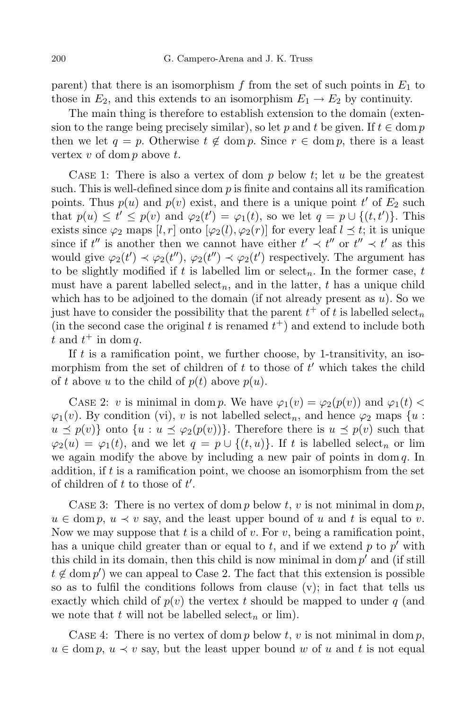parent) that there is an isomorphism  $f$  from the set of such points in  $E_1$  to those in  $E_2$ , and this extends to an isomorphism  $E_1 \rightarrow E_2$  by continuity.

The main thing is therefore to establish extension to the domain (extension to the range being precisely similar), so let p and t be given. If  $t \in \text{dom } p$ then we let  $q = p$ . Otherwise  $t \notin \text{dom } p$ . Since  $r \in \text{dom } p$ , there is a least vertex *v* of dom *p* above *t*.

Case 1: There is also a vertex of dom *p* below *t*; let *u* be the greatest such. This is well-defined since dom  $p$  is finite and contains all its ramification points. Thus  $p(u)$  and  $p(v)$  exist, and there is a unique point  $t'$  of  $E_2$  such that  $p(u) \le t' \le p(v)$  and  $\varphi_2(t') = \varphi_1(t)$ , so we let  $q = p \cup \{(t, t')\}$ . This exists since  $\varphi_2$  maps  $[l, r]$  onto  $[\varphi_2(l), \varphi_2(r)]$  for every leaf  $l \leq t$ ; it is unique since if  $t''$  is another then we cannot have either  $t' \prec t''$  or  $t'' \prec t'$  as this would give  $\varphi_2(t') \prec \varphi_2(t'')$ ,  $\varphi_2(t'') \prec \varphi_2(t')$  respectively. The argument has to be slightly modified if  $t$  is labelled lim or select<sub>n</sub>. In the former case,  $t$ must have a parent labelled select<sub>n</sub>, and in the latter,  $t$  has a unique child which has to be adjoined to the domain (if not already present as *u*). So we just have to consider the possibility that the parent  $t^+$  of  $t$  is labelled select<sub>n</sub> (in the second case the original  $t$  is renamed  $t^+$ ) and extend to include both  $t \text{ and } t^+ \text{ in } \text{dom } q.$ 

If *t* is a ramification point, we further choose, by 1-transitivity, an isomorphism from the set of children of  $t$  to those of  $t'$  which takes the child of *t* above *u* to the child of  $p(t)$  above  $p(u)$ .

CASE 2: *v* is minimal in dom *p*. We have  $\varphi_1(v) = \varphi_2(p(v))$  and  $\varphi_1(t)$  $\varphi_1(v)$ . By condition (vi), *v* is not labelled select<sub>*n*</sub>, and hence  $\varphi_2$  maps {*u* :  $u \preceq p(v)$ } onto  $\{u : u \preceq \varphi_2(p(v))\}$ . Therefore there is  $u \preceq p(v)$  such that  $\varphi_2(u) = \varphi_1(t)$ , and we let  $q = p \cup \{(t, u)\}\$ . If *t* is labelled select<sub>*n*</sub> or lim we again modify the above by including a new pair of points in dom *q*. In addition, if *t* is a ramification point, we choose an isomorphism from the set of children of  $t$  to those of  $t'$ .

CASE 3: There is no vertex of dom  $p$  below  $t, v$  is not minimal in dom  $p$ ,  $u \in \text{dom } p, u \prec v \text{ say, and the least upper bound of } u \text{ and } t \text{ is equal to } v.$ Now we may suppose that *t* is a child of *v*. For *v*, being a ramification point, has a unique child greater than or equal to  $t$ , and if we extend  $p$  to  $p'$  with this child in its domain, then this child is now minimal in dom  $p'$  and (if still  $t \notin \text{dom } p'$  we can appeal to Case 2. The fact that this extension is possible so as to fulfil the conditions follows from clause (v); in fact that tells us exactly which child of  $p(v)$  the vertex t should be mapped to under q (and we note that  $t$  will not be labelled select<sub>n</sub> or lim).

Case 4: There is no vertex of dom *p* below *t*, *v* is not minimal in dom *p*,  $u \in \text{dom } p, u \prec v$  say, but the least upper bound *w* of *u* and *t* is not equal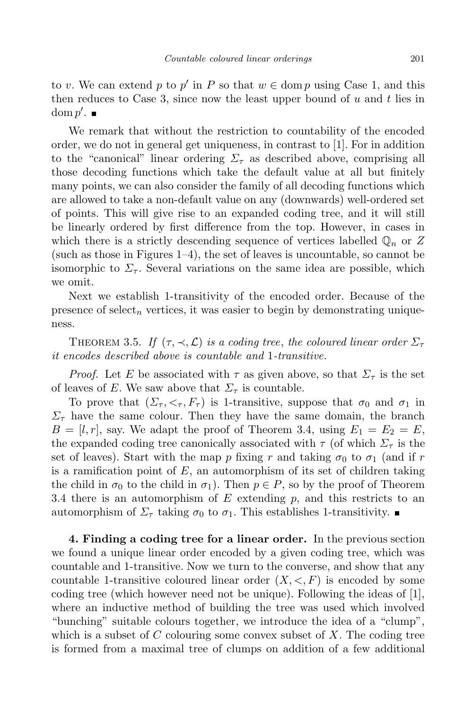to *v*. We can extend *p* to *p*<sup> $\prime$ </sup> in *P* so that  $w \in \text{dom } p$  using Case 1, and this then reduces to Case 3, since now the least upper bound of *u* and *t* lies in  $\operatorname{dom} p'.$ 

We remark that without the restriction to countability of the encoded order, we do not in general get uniqueness, in contrast to [1]. For in addition to the "canonical" linear ordering  $\Sigma_{\tau}$  as described above, comprising all those decoding functions which take the default value at all but finitely many points, we can also consider the family of all decoding functions which are allowed to take a non-default value on any (downwards) well-ordered set of points. This will give rise to an expanded coding tree, and it will still be linearly ordered by first difference from the top. However, in cases in which there is a strictly descending sequence of vertices labelled  $\mathbb{Q}_n$  or Z (such as those in Figures  $1-4$ ), the set of leaves is uncountable, so cannot be isomorphic to  $\Sigma$ <sub>*τ*</sub>. Several variations on the same idea are possible, which we omit.

Next we establish 1-transitivity of the encoded order. Because of the presence of select<sub>n</sub> vertices, it was easier to begin by demonstrating uniqueness.

THEOREM 3.5. *If*  $(\tau, \prec, \mathcal{L})$  *is a coding tree, the coloured linear order*  $\Sigma_{\tau}$ *it encodes described above is countable and* 1*-transitive.*

*Proof.* Let *E* be associated with  $\tau$  as given above, so that  $\Sigma_{\tau}$  is the set of leaves of *E*. We saw above that  $\Sigma_{\tau}$  is countable.

To prove that  $(\Sigma_{\tau}, \leq_{\tau}, F_{\tau})$  is 1-transitive, suppose that  $\sigma_0$  and  $\sigma_1$  in  $\Sigma$ <sub>*τ*</sub> have the same colour. Then they have the same domain, the branch  $B = [l, r]$ , say. We adapt the proof of Theorem 3.4, using  $E_1 = E_2 = E$ , the expanded coding tree canonically associated with  $\tau$  (of which  $\Sigma_{\tau}$  is the set of leaves). Start with the map *p* fixing *r* and taking  $\sigma_0$  to  $\sigma_1$  (and if *r* is a ramification point of *E*, an automorphism of its set of children taking the child in  $\sigma_0$  to the child in  $\sigma_1$ ). Then  $p \in P$ , so by the proof of Theorem 3.4 there is an automorphism of *E* extending *p*, and this restricts to an automorphism of  $\Sigma_{\tau}$  taking  $\sigma_0$  to  $\sigma_1$ . This establishes 1-transitivity.

**4. Finding a coding tree for a linear order.** In the previous section we found a unique linear order encoded by a given coding tree, which was countable and 1-transitive. Now we turn to the converse, and show that any countable 1-transitive coloured linear order  $(X, \leq, F)$  is encoded by some coding tree (which however need not be unique). Following the ideas of  $|1|$ , where an inductive method of building the tree was used which involved "bunching" suitable colours together, we introduce the idea of a "clump", which is a subset of *C* colouring some convex subset of *X*. The coding tree is formed from a maximal tree of clumps on addition of a few additional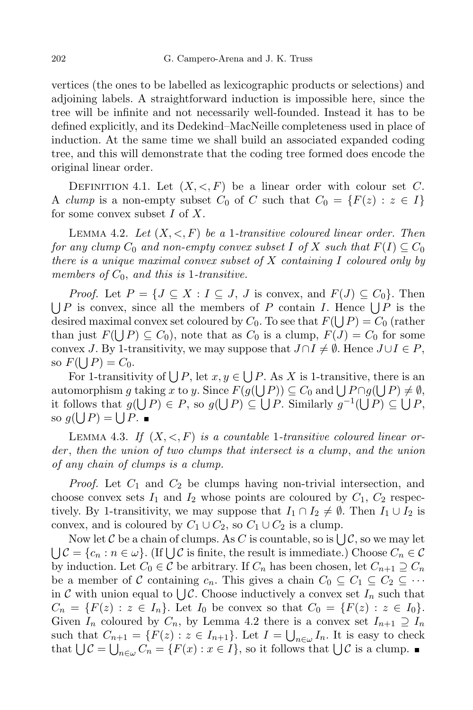vertices (the ones to be labelled as lexicographic products or selections) and adjoining labels. A straightforward induction is impossible here, since the tree will be infinite and not necessarily well-founded. Instead it has to be defined explicitly, and its Dedekind–MacNeille completeness used in place of induction. At the same time we shall build an associated expanded coding tree, and this will demonstrate that the coding tree formed does encode the original linear order.

DEFINITION 4.1. Let  $(X, \leq, F)$  be a linear order with colour set C. A *clump* is a non-empty subset  $C_0$  of  $C$  such that  $C_0 = \{F(z) : z \in I\}$ for some convex subset *I* of *X*.

LEMMA 4.2. Let  $(X, \leq, F)$  be a 1-transitive coloured linear order. Then *for any clump*  $C_0$  *and non-empty convex subset*  $I$  *of*  $X$  *such that*  $F(I) \subseteq C_0$ *there is a unique maximal convex subset of X containing I coloured only by members of C*0, *and this is* 1*-transitive.*

*Proof.* Let  $P = \{J \subseteq X : I \subseteq J, J \text{ is convex, and } F(J) \subseteq C_0\}$ . Then  $\bigcup P$  is convex, since all the members of *P* contain *I*. Hence  $\bigcup P$  is the desired maximal convex set coloured by  $C_0$ . To see that  $F(\bigcup P) = C_0$  (rather than just  $F(\bigcup P) \subseteq C_0$ , note that as  $C_0$  is a clump,  $F(J) = C_0$  for some convex *J*. By 1-transitivity, we may suppose that  $J \cap I \neq \emptyset$ . Hence  $J \cup I \in P$ , so  $F(\bigcup P) = C_0$ .

For 1-transitivity of  $\bigcup P$ , let  $x, y \in \bigcup P$ . As *X* is 1-transitive, there is an automorphism *g* taking *x* to *y*. Since  $F(g(\bigcup P)) \subseteq C_0$  and  $\bigcup P \cap g(\bigcup P) \neq \emptyset$ , it follows that  $g(\bigcup P) \in P$ , so  $g(\bigcup P) \subseteq \bigcup P$ . Similarly  $g^{-1}(\bigcup P) \subseteq \bigcup P$ , so  $g(\bigcup P) = \bigcup P$ .

LEMMA 4.3. If  $(X, \leq, F)$  is a countable 1-transitive coloured linear or*der* , *then the union of two clumps that intersect is a clump*, *and the union of any chain of clumps is a clump.*

*Proof.* Let *C*<sup>1</sup> and *C*<sup>2</sup> be clumps having non-trivial intersection, and choose convex sets  $I_1$  and  $I_2$  whose points are coloured by  $C_1$ ,  $C_2$  respectively. By 1-transitivity, we may suppose that  $I_1 \cap I_2 \neq \emptyset$ . Then  $I_1 \cup I_2$  is convex, and is coloured by  $C_1 \cup C_2$ , so  $C_1 \cup C_2$  is a clump.

Now let  $C$  be a chain of clumps. As  $C$  is countable, so is  $\bigcup_{\alpha} C$ , so we may let  $\bigcup \mathcal{C} = \{c_n : n \in \omega\}$ . (If  $\bigcup \mathcal{C}$  is finite, the result is immediate.) Choose  $C_n \in \mathcal{C}$ by induction. Let  $C_0 \in \mathcal{C}$  be arbitrary. If  $C_n$  has been chosen, let  $C_{n+1} \supseteq C_n$ be a member of *C* containing  $c_n$ . This gives a chain  $C_0 \subseteq C_1 \subseteq C_2 \subseteq \cdots$ in *C* with union equal to  $\bigcup \mathcal{C}$ . Choose inductively a convex set  $I_n$  such that  $C_n = \{F(z) : z \in I_n\}$ . Let  $I_0$  be convex so that  $C_0 = \{F(z) : z \in I_0\}$ . Given  $I_n$  coloured by  $C_n$ , by Lemma 4.2 there is a convex set  $I_{n+1} \supseteq I_n$ such that  $C_{n+1} = \{F(z) : z \in I_{n+1}\}$ . Let  $I = \bigcup_{n \in \omega} I_n$ . It is easy to check that  $\bigcup \mathcal{C} = \bigcup_{n \in \omega} C_n = \{F(x) : x \in I\}$ , so it follows that  $\bigcup \mathcal{C}$  is a clump.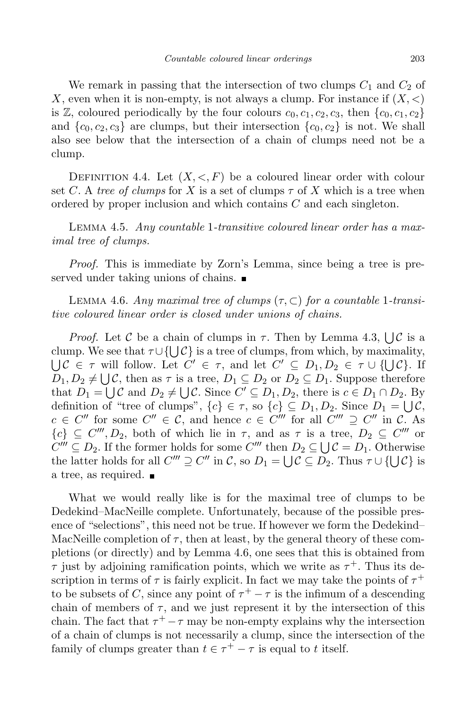We remark in passing that the intersection of two clumps  $C_1$  and  $C_2$  of *X*, even when it is non-empty, is not always a clump. For instance if (*X, <*) is  $\mathbb{Z}$ , coloured periodically by the four colours  $c_0, c_1, c_2, c_3$ , then  $\{c_0, c_1, c_2\}$ and  $\{c_0, c_2, c_3\}$  are clumps, but their intersection  $\{c_0, c_2\}$  is not. We shall also see below that the intersection of a chain of clumps need not be a clump.

DEFINITION 4.4. Let  $(X, \leq, F)$  be a coloured linear order with colour set *C*. A *tree* of *clumps* for *X* is a set of clumps  $\tau$  of *X* which is a tree when ordered by proper inclusion and which contains *C* and each singleton.

Lemma 4.5. *Any countable* 1*-transitive coloured linear order has a maximal tree of clumps.*

*Proof.* This is immediate by Zorn's Lemma, since being a tree is preserved under taking unions of chains.

LEMMA 4.6. *Any* maximal tree of clumps  $(\tau, \subset)$  for a countable 1-transi*tive coloured linear order is closed under unions of chains.*

*Proof.* Let *C* be a chain of clumps in  $\tau$ . Then by Lemma 4.3,  $\bigcup \mathcal{C}$  is a clump. We see that  $\tau \cup \{ \bigcup$ clump. We see that  $\tau \cup \{\bigcup \mathcal{C}\}$  is a tree of clumps, from which, by maximality,<br> $\bigcup \mathcal{C} \in \tau$  will follow. Let  $C' \in \tau$ , and let  $C' \subseteq D_1, D_2 \in \tau \cup \{\bigcup \mathcal{C}\}$ . If  $D_1, D_2 \neq \bigcup \mathcal{C}$ , then as  $\tau$  is a tree,  $D_1 \subseteq D_2$  or  $D_2 \subseteq D_1$ . Suppose therefore that  $D_1 = \bigcup_{\alpha} C$  and  $D_2 \neq \bigcup C$ . Since  $C' \subseteq D_1, D_2$ , there is  $c \in D_1 \cap D_2$ . By definition of "tree of clumps",  $\{c\} \in \tau$ , so  $\{c\} \subseteq D_1, D_2$ . Since  $D_1 = \bigcup \mathcal{C}$ ,  $c \in C''$  for some  $C'' \in \mathcal{C}$ , and hence  $c \in C'''$  for all  $C''' \supseteq C''$  in  $\mathcal{C}$ . As  ${c}$ <sup>*{c}*</sup>  $\subseteq$  *C*<sup>*m*</sup></sup>, *D*<sub>2</sub>, both of which lie in  $\tau$ , and as  $\tau$  is a tree,  $D_2 \subseteq C^{\prime\prime\prime}$  or  $C''' \subseteq D_2$ . If the former holds for some  $C'''$  then  $D_2 \subseteq \bigcup C = D_1$ . Otherwise the latter holds for all  $C''' \supseteq C''$  in  $C$ , so  $D_1 = \bigcup C \subseteq D_2$ . Thus  $\tau \cup \{\bigcup C\}$  is a tree, as required.

What we would really like is for the maximal tree of clumps to be Dedekind–MacNeille complete. Unfortunately, because of the possible presence of "selections", this need not be true. If however we form the Dedekind– MacNeille completion of  $\tau$ , then at least, by the general theory of these completions (or directly) and by Lemma 4.6, one sees that this is obtained from *τ* just by adjoining ramification points, which we write as  $\tau^+$ . Thus its description in terms of  $\tau$  is fairly explicit. In fact we may take the points of  $\tau^+$ to be subsets of *C*, since any point of  $\tau^+ - \tau$  is the infimum of a descending chain of members of  $\tau$ , and we just represent it by the intersection of this chain. The fact that  $\tau^+ - \tau$  may be non-empty explains why the intersection of a chain of clumps is not necessarily a clump, since the intersection of the family of clumps greater than  $t \in \tau^+ - \tau$  is equal to *t* itself.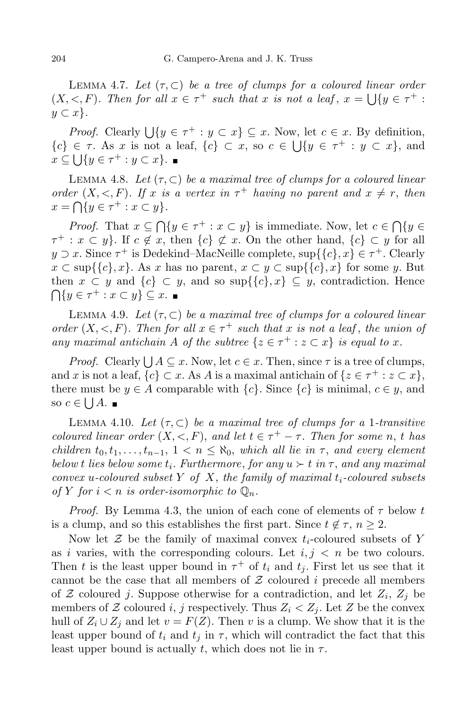LEMMA 4.7. Let  $(\tau, \subset)$  be a tree of clumps for a coloured linear order  $(X, \leq, F)$ . Then for all  $x \in \tau^+$  such that x is not a leaf,  $x = \bigcup \{y \in \tau^+ :$ *y ⊂ x}.*

*Proof.* Clearly  $\bigcup \{y \in \tau^+ : y \subset x\} \subseteq x$ . Now, let  $c \in x$ . By definition,  ${c}$ <sup>*}*</sup>  $\in$  *τ*. As *x* is not a leaf,  ${c}$ *}*  $\subset$  *x*, so  $c \in \bigcup \{y \in \tau^+ : y \subset x\}$ , and  $x \subseteq \bigcup \{ y \in \tau^+ : y \subset x \}.$ 

**LEMMA 4.8.** Let  $(\tau, \subset)$  be a maximal tree of clumps for a coloured linear *order*  $(X, \leq, F)$ *. If x is a vertex in*  $\tau^+$  *having no parent and*  $x \neq r$ *, then*  $x = \bigcap \{ y \in \tau^+ : x \subset y \}.$ 

*Proof.* That  $x \subseteq \bigcap \{y \in \tau^+ : x \subset y\}$  is immediate. Now, let  $c \in \bigcap \{y \in \tau^+ : x \subset y\}$  $\tau^+ : x \subset y$ . If  $c \notin x$ , then  $\{c\} \not\subset x$ . On the other hand,  $\{c\} \subset y$  for all  $y \supset x$ . Since  $\tau^+$  is Dedekind–MacNeille complete,  $\sup\{\{c\}, x\} \in \tau^+$ . Clearly  $x \subset \sup\{\{c\}, x\}$ . As *x* has no parent,  $x \subset y \subset \sup\{\{c\}, x\}$  for some *y*. But then  $x \subset y$  and  $\{c\} \subset y$ , and so sup $\{\{c\},x\} \subseteq y$ , contradiction. Hence  $\bigcap \{ y \in \tau^+ : x \subset y \} \subseteq x.$ 

**LEMMA 4.9.** Let  $(\tau, \subset)$  be a maximal tree of clumps for a coloured linear order  $(X, \leq, F)$ . Then for all  $x \in \tau^+$  such that x is not a leaf, the union of *any maximal antichain A of the subtree*  $\{z \in \tau^+ : z \subset x\}$  *is equal to x*.

*Proof.* Clearly  $\bigcup A \subseteq x$ . Now, let  $c \in x$ . Then, since  $\tau$  is a tree of clumps, and *x* is not a leaf,  ${c} \subset x$ . As *A* is a maximal antichain of  ${z \in \tau^+ : z \subset x}$ , there must be  $y \in A$  comparable with  $\{c\}$ . Since  $\{c\}$  is minimal,  $c \in y$ , and so  $c \in \bigcup A$ .

LEMMA 4.10. Let  $(\tau, \subset)$  be a maximal tree of clumps for a 1-transitive *coloured linear order*  $(X, \leq, F)$ *, and let*  $t \in \tau^+ - \tau$ *. Then for some n*, *t has* children  $t_0, t_1, \ldots, t_{n-1}, 1 \lt n \leq \aleph_0$ , which all lie in  $\tau$ , and every element *below t lies below some*  $t_i$ *. Furthermore, for*  $any \, u \succ t \, in \, \tau$ *, and any maximal convex u-coloured subset Y of X*, *the family of maximal ti-coloured subsets* of Y for  $i < n$  is order-isomorphic to  $\mathbb{Q}_n$ .

*Proof.* By Lemma 4.3, the union of each cone of elements of *τ* below *t* is a clump, and so this establishes the first part. Since  $t \notin \tau$ ,  $n \geq 2$ .

Now let  $\mathcal Z$  be the family of maximal convex  $t_i$ -coloured subsets of  $Y$ as *i* varies, with the corresponding colours. Let  $i, j \leq n$  be two colours. Then *t* is the least upper bound in  $\tau^+$  of  $t_i$  and  $t_j$ . First let us see that it cannot be the case that all members of *Z* coloured *i* precede all members of  $Z$  coloured *j*. Suppose otherwise for a contradiction, and let  $Z_i$ ,  $Z_j$  be members of  $\mathcal Z$  coloured *i*, *j* respectively. Thus  $Z_i < Z_j$ . Let  $Z$  be the convex hull of  $Z_i \cup Z_j$  and let  $v = F(Z)$ . Then *v* is a clump. We show that it is the least upper bound of  $t_i$  and  $t_j$  in  $\tau$ , which will contradict the fact that this least upper bound is actually *t*, which does not lie in  $\tau$ .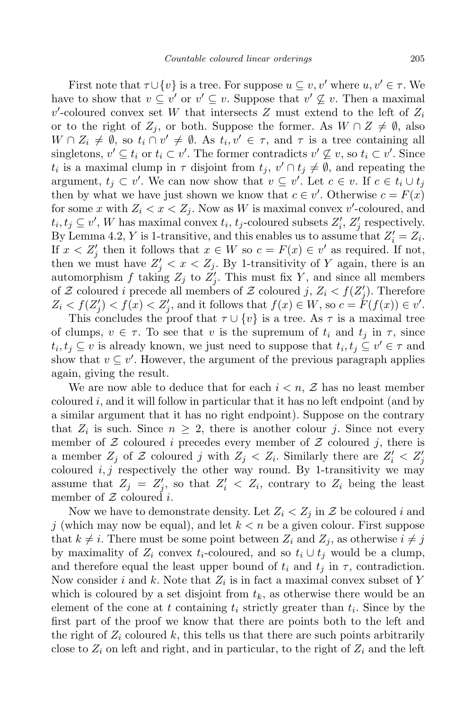First note that  $\tau \cup \{v\}$  is a tree. For suppose  $u \subseteq v, v'$  where  $u, v' \in \tau$ . We have to show that  $v \subseteq v'$  or  $v' \subseteq v$ . Suppose that  $v' \nsubseteq v$ . Then a maximal  $v'$ -coloured convex set *W* that intersects *Z* must extend to the left of  $Z_i$ or to the right of  $Z_j$ , or both. Suppose the former. As  $W \cap Z \neq \emptyset$ , also  $W \cap Z_i \neq \emptyset$ , so  $t_i \cap v' \neq \emptyset$ . As  $t_i, v' \in \tau$ , and  $\tau$  is a tree containing all singletons,  $v' \subseteq t_i$  or  $t_i \subset v'$ . The former contradicts  $v' \nsubseteq v$ , so  $t_i \subset v'$ . Since *t*<sub>*i*</sub> is a maximal clump in  $\tau$  disjoint from  $t_j$ ,  $v' \cap t_j \neq \emptyset$ , and repeating the argument,  $t_j \subset v'$ . We can now show that  $v \subseteq v'$ . Let  $c \in v$ . If  $c \in t_i \cup t_j$ then by what we have just shown we know that  $c \in v'$ . Otherwise  $c = F(x)$ for some x with  $Z_i < x < Z_j$ . Now as W is maximal convex v'-coloured, and  $t_i, t_j \subseteq v'$ , *W* has maximal convex  $t_i, t_j$ -coloured subsets  $Z'_i, Z'_j$  respectively. By Lemma 4.2, *Y* is 1-transitive, and this enables us to assume that  $Z_i' = Z_i$ . If  $x < Z'_{j}$  then it follows that  $x \in W$  so  $c = F(x) \in v'$  as required. If not, then we must have  $Z'_j < x < Z_j$ . By 1-transitivity of *Y* again, there is an automorphism  $f$  taking  $Z_j$  to  $Z'_j$ . This must fix  $Y$ , and since all members of *Z* coloured *i* precede all members of *Z* coloured *j*,  $Z_i < f(Z'_j)$ . Therefore  $Z_i \le f(Z'_j) < f(x) < Z'_j$ , and it follows that  $f(x) \in W$ , so  $c = F(f(x)) \in v'$ .

This concludes the proof that  $\tau \cup \{v\}$  is a tree. As  $\tau$  is a maximal tree of clumps,  $v \in \tau$ . To see that *v* is the supremum of  $t_i$  and  $t_j$  in  $\tau$ , since  $t_i, t_j \subseteq v$  is already known, we just need to suppose that  $t_i, t_j \subseteq v' \in \tau$  and show that  $v \subseteq v'$ . However, the argument of the previous paragraph applies again, giving the result.

We are now able to deduce that for each  $i < n$ ,  $\mathcal{Z}$  has no least member coloured *i*, and it will follow in particular that it has no left endpoint (and by a similar argument that it has no right endpoint). Suppose on the contrary that  $Z_i$  is such. Since  $n \geq 2$ , there is another colour *j*. Since not every member of  $Z$  coloured *i* precedes every member of  $Z$  coloured *j*, there is a member  $Z_j$  of  $Z$  coloured *j* with  $Z_j < Z_i$ . Similarly there are  $Z'_i < Z'_j$ coloured  $i, j$  respectively the other way round. By 1-transitivity we may assume that  $Z_j = Z'_j$ , so that  $Z'_i < Z_i$ , contrary to  $Z_i$  being the least member of *Z* coloured *i*.

Now we have to demonstrate density. Let  $Z_i < Z_j$  in  $\mathcal Z$  be coloured *i* and *j* (which may now be equal), and let *k < n* be a given colour. First suppose that  $k \neq i$ . There must be some point between  $Z_i$  and  $Z_j$ , as otherwise  $i \neq j$ by maximality of  $Z_i$  convex  $t_i$ -coloured, and so  $t_i \cup t_j$  would be a clump, and therefore equal the least upper bound of  $t_i$  and  $t_j$  in  $\tau$ , contradiction. Now consider *i* and *k*. Note that *Z<sup>i</sup>* is in fact a maximal convex subset of *Y* which is coloured by a set disjoint from  $t_k$ , as otherwise there would be an element of the cone at  $t$  containing  $t_i$  strictly greater than  $t_i$ . Since by the first part of the proof we know that there are points both to the left and the right of  $Z_i$  coloured  $k$ , this tells us that there are such points arbitrarily close to  $Z_i$  on left and right, and in particular, to the right of  $Z_i$  and the left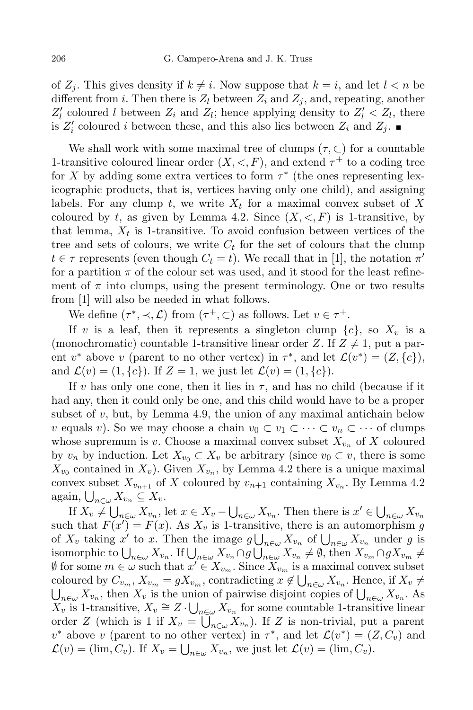of  $Z_i$ . This gives density if  $k \neq i$ . Now suppose that  $k = i$ , and let  $l < n$  be different from *i*. Then there is  $Z_l$  between  $Z_i$  and  $Z_j$ , and, repeating, another  $Z_l$  coloured *l* between  $Z_i$  and  $Z_l$ ; hence applying density to  $Z_l' < Z_l$ , there is  $Z_i'$  coloured *i* between these, and this also lies between  $Z_i$  and  $Z_j$ .

We shall work with some maximal tree of clumps  $(\tau, \subset)$  for a countable 1-transitive coloured linear order  $(X, \leq, F)$ , and extend  $\tau^+$  to a coding tree for *X* by adding some extra vertices to form *τ ∗* (the ones representing lexicographic products, that is, vertices having only one child), and assigning labels. For any clump  $t$ , we write  $X_t$  for a maximal convex subset of  $X$ coloured by *t*, as given by Lemma 4.2. Since  $(X, \leq, F)$  is 1-transitive, by that lemma,  $X_t$  is 1-transitive. To avoid confusion between vertices of the tree and sets of colours, we write  $C_t$  for the set of colours that the clump  $t \in \tau$  represents (even though  $C_t = t$ ). We recall that in [1], the notation  $\pi'$ for a partition  $\pi$  of the colour set was used, and it stood for the least refinement of  $\pi$  into clumps, using the present terminology. One or two results from [1] will also be needed in what follows.

We define  $(\tau^*, \prec, \mathcal{L})$  from  $(\tau^+, \subset)$  as follows. Let  $v \in \tau^+$ .

If *v* is a leaf, then it represents a singleton clump  $\{c\}$ , so  $X_v$  is a (monochromatic) countable 1-transitive linear order *Z*. If  $Z \neq 1$ , put a parent  $v^*$  above  $v$  (parent to no other vertex) in  $\tau^*$ , and let  $\mathcal{L}(v^*) = (Z, \{c\})$ , and  $\mathcal{L}(v) = (1, \{c\})$ . If  $Z = 1$ , we just let  $\mathcal{L}(v) = (1, \{c\})$ .

If *v* has only one cone, then it lies in  $\tau$ , and has no child (because if it had any, then it could only be one, and this child would have to be a proper subset of  $v$ , but, by Lemma 4.9, the union of any maximal antichain below *v* equals *v*). So we may choose a chain  $v_0 \subset v_1 \subset \cdots \subset v_n \subset \cdots$  of clumps whose supremum is *v*. Choose a maximal convex subset  $X_{v_n}$  of X coloured by  $v_n$  by induction. Let  $X_{v_0} \subset X_v$  be arbitrary (since  $v_0 \subset v$ , there is some  $X_{v_0}$  contained in  $X_v$ ). Given  $X_{v_n}$ , by Lemma 4.2 there is a unique maximal convex subset  $X_{v_{n+1}}$  of X coloured by  $v_{n+1}$  containing  $X_{v_n}$ . By Lemma 4.2  $\underset{\sim}{\arg\min}$ ,  $\bigcup_{n\in\omega}X_{v_n}\subseteq X_v.$ 

If  $X_v \neq \bigcup_{n \in \omega} X_{v_n}$ , let  $x \in X_v - \bigcup_{n \in \omega} X_{v_n}$ . Then there is  $x' \in \bigcup_{n \in \omega} X_{v_n}$ such that  $F(x') = F(x)$ . As  $X_v$  is 1-transitive, there is an automorphism *g* of  $X_v$  taking  $x'$  to  $x$ . Then the image  $g \bigcup_{n \in \omega} X_{v_n}$  of  $\bigcup_{n \in \omega} X_{v_n}$  under  $g$  is isomorphic to  $\bigcup_{n\in\omega}X_{v_n}$ . If  $\bigcup_{n\in\omega}X_{v_n}\cap g\bigcup_{n\in\omega}X_{v_n}\neq\emptyset$ , then  $X_{v_m}\cap gX_{v_m}\neq\emptyset$  $\emptyset$  for some  $m \in \omega$  such that  $x' \in X_{v_m}$ . Since  $X_{v_m}$  is a maximal convex subset coloured by  $C_{v_m}$ ,  $X_{v_m} = gX_{v_m}$ , contradicting  $x \notin \bigcup_{n \in \omega} X_{v_n}$ . Hence, if  $X_v \neq \bigcup_{n \in \omega} X_{v_n}$ , then  $X_v$  is the union of pairwise disjoint copies of  $\bigcup_{n \in \omega} X_{v_n}$ . As  $X_{v_n}$ , then  $X_v$  is the union of pairwise disjoint copies of  $\bigcup_{n\in\omega}X_{v_n}$ . As  $\overline{X}_v$  is 1-transitive,  $X_v \cong Z \cdot \bigcup_{n \in \omega} X_{v_n}$  for some countable 1-transitive linear order *Z* (which is 1 if  $X_v = \overline{\bigcup}_{n \in \omega}^{\infty} X_{v_n}$ ). If *Z* is non-trivial, put a parent *v*<sup>\*</sup> above *v* (parent to no other vertex) in  $\tau^*$ , and let  $\mathcal{L}(v^*) = (Z, C_v)$  and  $\mathcal{L}(v) = (\lim_{v \to v} C_v)$ . If  $X_v = \bigcup_{n \in \omega} X_{v_n}$ , we just let  $\mathcal{L}(v) = (\lim_{v \to v} C_v)$ .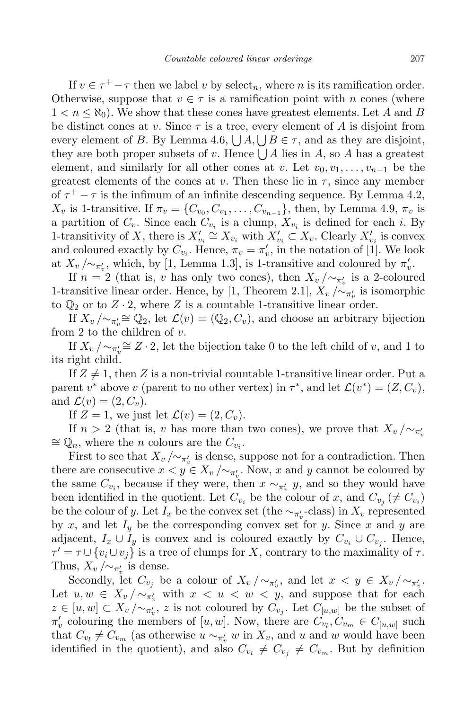If  $v \in \tau^+ - \tau$  then we label *v* by select<sub>n</sub>, where *n* is its ramification order. Otherwise, suppose that  $v \in \tau$  is a ramification point with *n* cones (where  $1 < n < \aleph_0$ ). We show that these cones have greatest elements. Let A and B be distinct cones at *v*. Since  $\tau$  is a tree, every element of A is disjoint from every element of *B*. By Lemma 4.6,  $\bigcup A$ ,  $\bigcup B \in \tau$ , and as they are disjoint, they are both proper subsets of *v*. Hence  $\bigcup A$  lies in *A*, so *A* has a greatest element, and similarly for all other cones at *v*. Let  $v_0, v_1, \ldots, v_{n-1}$  be the greatest elements of the cones at  $v$ . Then these lie in  $\tau$ , since any member of  $\tau^+ - \tau$  is the infimum of an infinite descending sequence. By Lemma 4.2,  $X_v$  is 1-transitive. If  $\pi_v = \{C_{v_0}, C_{v_1}, \ldots, C_{v_{n-1}}\}$ , then, by Lemma 4.9,  $\pi_v$  is a partition of  $C_v$ . Since each  $C_{v_i}$  is a clump,  $X_{v_i}$  is defined for each *i*. By 1-transitivity of *X*, there is  $X'_{v_i} \cong X_{v_i}$  with  $X'_{v_i} \subset X_v$ . Clearly  $X'_{v_i}$  is convex and coloured exactly by  $C_{v_i}$ . Hence,  $\pi_v = \pi'_v$ , in the notation of [1]. We look at  $X_v / \sim_{\pi'_v}$ , which, by [1, Lemma 1.3], is 1-transitive and coloured by  $\pi'_v$ .

If  $n = 2$  (that is, *v* has only two cones), then  $X_v / \sim_{\pi'_v}$  is a 2-coloured 1-transitive linear order. Hence, by [1, Theorem 2.1],  $X_v / \sim_{\pi'_v}$  is isomorphic to  $\mathbb{Q}_2$  or to  $Z \cdot 2$ , where  $Z$  is a countable 1-transitive linear order.

If  $X_v / \sim_{\pi_v'} \cong \mathbb{Q}_2$ , let  $\mathcal{L}(v) = (\mathbb{Q}_2, C_v)$ , and choose an arbitrary bijection from 2 to the children of *v*.

If  $X_v / \sim_{\pi_v'} \cong Z \cdot 2$ , let the bijection take 0 to the left child of *v*, and 1 to its right child.

If  $Z \neq 1$ , then Z is a non-trivial countable 1-transitive linear order. Put a parent *v*<sup>\*</sup> above *v* (parent to no other vertex) in  $\tau^*$ , and let  $\mathcal{L}(v^*) = (Z, C_v)$ , and  $\mathcal{L}(v) = (2, C_v)$ .

If  $Z = 1$ , we just let  $\mathcal{L}(v) = (2, C_v)$ .

If  $n > 2$  (that is, *v* has more than two cones), we prove that  $X_v / \sim_{\pi_v}$  $\simeq$   $\mathbb{Q}_n$ , where the *n* colours are the  $C_{v_i}$ .

First to see that  $X_v / \sim_{\pi'_v}$  is dense, suppose not for a contradiction. Then there are consecutive  $x < y \in X_v / \sim_{\pi'_v}$ . Now, *x* and *y* cannot be coloured by the same  $C_{v_i}$ , because if they were, then  $x \sim_{\pi'_v} y$ , and so they would have been identified in the quotient. Let  $C_{v_i}$  be the colour of *x*, and  $C_{v_j}$  ( $\neq C_{v_i}$ ) be the colour of *y*. Let  $I_x$  be the convex set (the  $\sim_{\pi'_v}$ -class) in  $X_v$  represented by  $x$ , and let  $I_y$  be the corresponding convex set for  $y$ . Since  $x$  and  $y$  are adjacent,  $I_x \cup I_y$  is convex and is coloured exactly by  $C_{v_i} \cup C_{v_j}$ . Hence,  $\tau' = \tau \cup \{v_i \cup v_j\}$  is a tree of clumps for *X*, contrary to the maximality of  $\tau$ . Thus,  $X_v / \sim_{\pi'_v}$  is dense.

Secondly, let  $C_{v_j}$  be a colour of  $X_v / \sim_{\pi'_v}$ , and let  $x < y \in X_v / \sim_{\pi'_v}$ . Let  $u, w \in X_v / \sim_{\pi_v'}$  with  $x < u < w < y$ , and suppose that for each  $z \in [u, w] \subset X_v / \sim_{\pi'_v}, z$  is not coloured by  $C_{v_j}$ . Let  $C_{[u,w]}$  be the subset of  $\pi'_v$  colouring the members of [*u, w*]. Now, there are  $C_{v_l}, C_{v_m} \in C_{[u,w]}$  such that  $C_{v_l} \neq C_{v_m}$  (as otherwise  $u \sim_{\pi'_v} w$  in  $X_v$ , and  $u$  and  $w$  would have been identified in the quotient), and also  $C_{v_l} \neq C_{v_j} \neq C_{v_m}$ . But by definition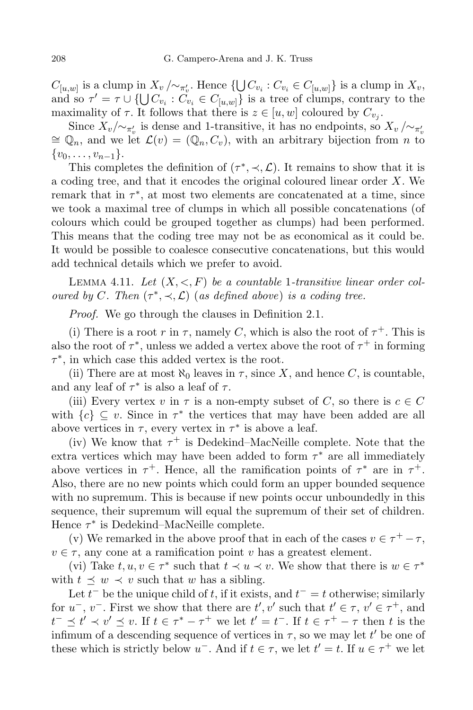$C_{[u,w]}$  is a clump in  $X_v/\sim_{\pi'_v}$ . Hence  $\{\bigcup C_{v_i}: C_{v_i} \in C_{[u,w]}\}$  is a clump in  $X_v$ , and so  $\tau' = \tau \cup \{ \bigcup C_{v_i} : C_{v_i} \in C_{[u,w]} \}$  is a tree of clumps, contrary to the maximality of  $\tau$ . It follows that there is  $z \in [u, w]$  coloured by  $C_{v_j}$ .

Since  $X_v/\sim_{\pi'_v}$  is dense and 1-transitive, it has no endpoints, so  $X_v/\sim_{\pi'_v}$  $\simeq \mathbb{Q}_n$ , and we let  $\mathcal{L}(v) = (\mathbb{Q}_n, C_v)$ , with an arbitrary bijection from *n* to *{v*0*, . . . , vn−*1*}*.

This completes the definition of  $(\tau^*, \prec, \mathcal{L})$ . It remains to show that it is a coding tree, and that it encodes the original coloured linear order *X*. We remark that in  $\tau^*$ , at most two elements are concatenated at a time, since we took a maximal tree of clumps in which all possible concatenations (of colours which could be grouped together as clumps) had been performed. This means that the coding tree may not be as economical as it could be. It would be possible to coalesce consecutive concatenations, but this would add technical details which we prefer to avoid.

LEMMA 4.11. Let  $(X, \leq, F)$  be a countable 1-transitive linear order col*oured by C*. Then  $(\tau^*, \prec, \mathcal{L})$  (*as defined above*) *is a coding tree.* 

*Proof.* We go through the clauses in Definition 2.1.

(i) There is a root *r* in  $\tau$ , namely *C*, which is also the root of  $\tau^+$ . This is also the root of  $\tau^*$ , unless we added a vertex above the root of  $\tau^+$  in forming *τ ∗* , in which case this added vertex is the root.

(ii) There are at most  $\aleph_0$  leaves in  $\tau$ , since X, and hence C, is countable, and any leaf of  $\tau^*$  is also a leaf of  $\tau$ .

(iii) Every vertex *v* in  $\tau$  is a non-empty subset of *C*, so there is  $c \in C$ with  ${c} \subseteq v$ . Since in  $\tau^*$  the vertices that may have been added are all above vertices in  $\tau$ , every vertex in  $\tau^*$  is above a leaf.

(iv) We know that  $\tau^+$  is Dedekind–MacNeille complete. Note that the extra vertices which may have been added to form *τ ∗* are all immediately above vertices in  $\tau^+$ . Hence, all the ramification points of  $\tau^*$  are in  $\tau^+$ . Also, there are no new points which could form an upper bounded sequence with no supremum. This is because if new points occur unboundedly in this sequence, their supremum will equal the supremum of their set of children. Hence *τ ∗* is Dedekind–MacNeille complete.

(v) We remarked in the above proof that in each of the cases  $v \in \tau^+ - \tau$ ,  $v \in \tau$ , any cone at a ramification point *v* has a greatest element.

(vi) Take  $t, u, v \in \tau^*$  such that  $t \prec u \prec v$ . We show that there is  $w \in \tau^*$ with  $t \preceq w \prec v$  such that *w* has a sibling.

Let  $t^-$  be the unique child of  $t$ , if it exists, and  $t^- = t$  otherwise; similarly for  $u^-, v^-$ . First we show that there are  $t', v'$  such that  $t' \in \tau, v' \in \tau^+$ , and  $t^{-} \preceq t' \prec v' \preceq v$ . If  $t \in \tau^{*} - \tau^{+}$  we let  $t' = t^{-}$ . If  $t \in \tau^{+} - \tau$  then t is the infimum of a descending sequence of vertices in  $\tau$ , so we may let  $t'$  be one of these which is strictly below  $u^-$ . And if  $t \in \tau$ , we let  $t' = t$ . If  $u \in \tau^+$  we let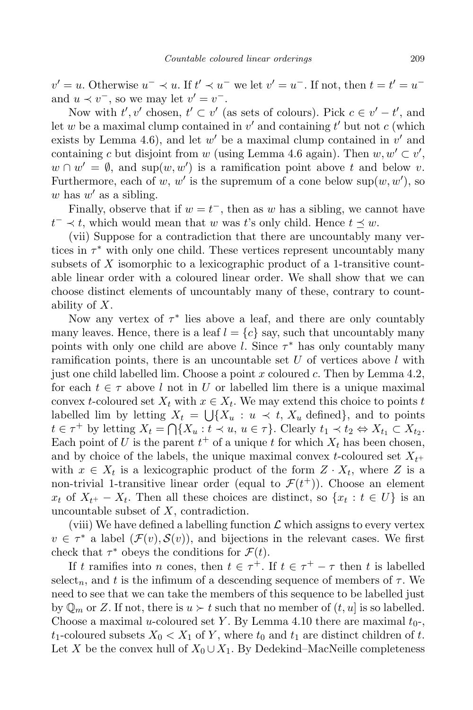$v' = u$ . Otherwise  $u^- \prec u$ . If  $t' \prec u^-$  we let  $v' = u^-$ . If not, then  $t = t' = u^$ and  $u \prec v^-$ , so we may let  $v' = v^-$ .

Now with  $t', v'$  chosen,  $t' \subset v'$  (as sets of colours). Pick  $c \in v' - t'$ , and let *w* be a maximal clump contained in  $v'$  and containing  $t'$  but not  $c$  (which exists by Lemma 4.6), and let  $w'$  be a maximal clump contained in  $v'$  and containing *c* but disjoint from *w* (using Lemma 4.6 again). Then  $w, w' \subset v'$ ,  $w \cap w' = \emptyset$ , and sup $(w, w')$  is a ramification point above *t* and below *v*. Furthermore, each of *w*, *w'* is the supremum of a cone below  $\sup(w, w')$ , so  $w$  has  $w'$  as a sibling.

Finally, observe that if  $w = t^-$ , then as  $w$  has a sibling, we cannot have  $t^- \prec t$ , which would mean that *w* was *t*'s only child. Hence  $t \preceq w$ .

(vii) Suppose for a contradiction that there are uncountably many vertices in  $\tau^*$  with only one child. These vertices represent uncountably many subsets of *X* isomorphic to a lexicographic product of a 1-transitive countable linear order with a coloured linear order. We shall show that we can choose distinct elements of uncountably many of these, contrary to countability of *X*.

Now any vertex of  $\tau^*$  lies above a leaf, and there are only countably many leaves. Hence, there is a leaf  $l = \{c\}$  say, such that uncountably many points with only one child are above *l*. Since *τ ∗* has only countably many ramification points, there is an uncountable set *U* of vertices above *l* with just one child labelled lim. Choose a point *x* coloured *c*. Then by Lemma 4.2, for each  $t \in \tau$  above *l* not in *U* or labelled lim there is a unique maximal convex *t*-coloured set  $X_t$  with  $x \in X_t$ . We may extend this choice to points *t* labelled lim by letting  $X_t = \bigcup \{X_u : u \prec t, X_u \text{ defined}\},\$ and to points  $t \in \tau^+$  by letting  $X_t = \bigcap \{X_u : t \prec u, u \in \tau\}$ . Clearly  $t_1 \prec t_2 \Leftrightarrow X_{t_1} \subset X_{t_2}$ . Each point of *U* is the parent  $t^+$  of a unique *t* for which  $X_t$  has been chosen, and by choice of the labels, the unique maximal convex *t*-coloured set *Xt*<sup>+</sup> with  $x \in X_t$  is a lexicographic product of the form  $Z \cdot X_t$ , where  $Z$  is a non-trivial 1-transitive linear order (equal to  $\mathcal{F}(t^+)$ ). Choose an element  $x_t$  of  $X_{t+} - X_t$ . Then all these choices are distinct, so  $\{x_t : t \in U\}$  is an uncountable subset of *X*, contradiction.

(viii) We have defined a labelling function  $\mathcal L$  which assigns to every vertex  $v \in \tau^*$  a label  $(\mathcal{F}(v), \mathcal{S}(v))$ , and bijections in the relevant cases. We first check that  $\tau^*$  obeys the conditions for  $\mathcal{F}(t)$ .

If *t* ramifies into *n* cones, then  $t \in \tau^+$ . If  $t \in \tau^+ - \tau$  then *t* is labelled select<sub>n</sub>, and t is the infimum of a descending sequence of members of  $\tau$ . We need to see that we can take the members of this sequence to be labelled just by  $\mathbb{Q}_m$  or Z. If not, there is  $u \succ t$  such that no member of  $(t, u]$  is so labelled. Choose a maximal *u*-coloured set *Y*. By Lemma 4.10 there are maximal  $t_0$ -,  $t_1$ -coloured subsets  $X_0 \leq X_1$  of *Y*, where  $t_0$  and  $t_1$  are distinct children of *t*. Let *X* be the convex hull of  $X_0 \cup X_1$ . By Dedekind–MacNeille completeness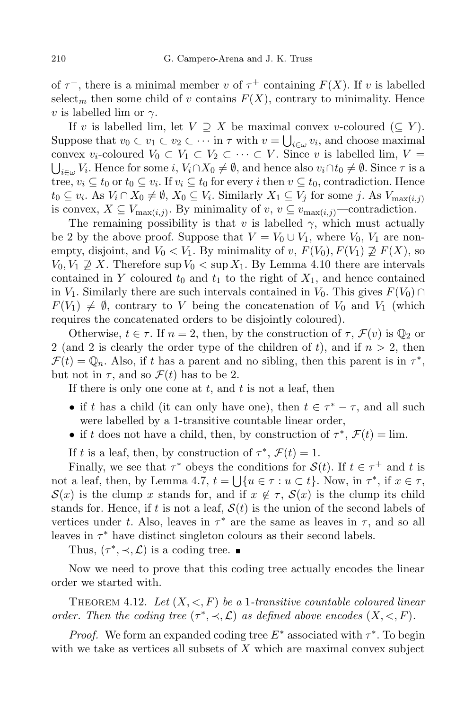of  $\tau^+$ , there is a minimal member *v* of  $\tau^+$  containing  $F(X)$ . If *v* is labelled select<sub>m</sub> then some child of *v* contains  $F(X)$ , contrary to minimality. Hence *v* is labelled lim or *γ*.

If *v* is labelled lim, let  $V \supseteq X$  be maximal convex *v*-coloured ( $\subseteq Y$ ). Suppose that  $v_0 \subset v_1 \subset v_2 \subset \cdots$  in  $\tau$  with  $v = \bigcup_{i \in \omega} v_i$ , and choose maximal convex  $v_i$ -coloured  $V_0 \subset V_1 \subset V_2 \subset \cdots \subset V$ . Since *v* is labelled lim,  $V =$  $i \in \omega$  *V*<sub>*i*</sub>. Hence for some *i*,  $V_i \cap X_0 \neq \emptyset$ , and hence also  $v_i \cap t_0 \neq \emptyset$ . Since  $\tau$  is a tree,  $v_i \subseteq t_0$  or  $t_0 \subseteq v_i$ . If  $v_i \subseteq t_0$  for every *i* then  $v \subseteq t_0$ , contradiction. Hence  $t_0 \subseteq v_i$ . As  $V_i \cap X_0 \neq \emptyset$ ,  $X_0 \subseteq V_i$ . Similarly  $X_1 \subseteq V_j$  for some j. As  $V_{\max(i,j)}$ is convex,  $X \subseteq V_{\max(i,j)}$ . By minimality of  $v, v \subseteq v_{\max(i,j)}$ —contradiction.

The remaining possibility is that *v* is labelled  $\gamma$ , which must actually be 2 by the above proof. Suppose that  $V = V_0 \cup V_1$ , where  $V_0$ ,  $V_1$  are nonempty, disjoint, and  $V_0 < V_1$ . By minimality of *v*,  $F(V_0), F(V_1) \not\supseteq F(X)$ , so  $V_0, V_1 \not\supseteq X$ . Therefore sup  $V_0 < \sup X_1$ . By Lemma 4.10 there are intervals contained in *Y* coloured  $t_0$  and  $t_1$  to the right of  $X_1$ , and hence contained in *V*<sub>1</sub>. Similarly there are such intervals contained in *V*<sub>0</sub>. This gives  $F(V_0) \cap$  $F(V_1) \neq \emptyset$ , contrary to *V* being the concatenation of  $V_0$  and  $V_1$  (which requires the concatenated orders to be disjointly coloured).

Otherwise,  $t \in \tau$ . If  $n = 2$ , then, by the construction of  $\tau$ ,  $\mathcal{F}(v)$  is  $\mathbb{Q}_2$  or 2 (and 2 is clearly the order type of the children of t, and if  $n > 2$ , then  $\mathcal{F}(t) = \mathbb{Q}_n$ . Also, if *t* has a parent and no sibling, then this parent is in  $\tau^*$ , but not in  $\tau$ , and so  $\mathcal{F}(t)$  has to be 2.

If there is only one cone at *t*, and *t* is not a leaf, then

- if *t* has a child (it can only have one), then  $t \in \tau^* \tau$ , and all such were labelled by a 1-transitive countable linear order,
- if *t* does not have a child, then, by construction of  $\tau^*$ ,  $\mathcal{F}(t) = \lim$ .

If *t* is a leaf, then, by construction of  $\tau^*$ ,  $\mathcal{F}(t) = 1$ .

Finally, we see that  $\tau^*$  obeys the conditions for  $S(t)$ . If  $t \in \tau^+$  and *t* is not a leaf, then, by Lemma 4.7,  $t = \bigcup \{u \in \tau : u \subset t\}$ . Now, in  $\tau^*$ , if  $x \in \tau$ ,  $S(x)$  is the clump *x* stands for, and if  $x \notin \tau$ ,  $S(x)$  is the clump its child stands for. Hence, if t is not a leaf,  $S(t)$  is the union of the second labels of vertices under *t*. Also, leaves in  $\tau^*$  are the same as leaves in  $\tau$ , and so all leaves in  $\tau^*$  have distinct singleton colours as their second labels.

Thus,  $(\tau^*, \prec, \mathcal{L})$  is a coding tree.

Now we need to prove that this coding tree actually encodes the linear order we started with.

THEOREM 4.12. Let  $(X, \leq, F)$  be a 1-transitive countable coloured linear *order.* Then the coding tree  $(\tau^*, \prec, \mathcal{L})$  as defined above encodes  $(X, \prec, F)$ .

*Proof.* We form an expanded coding tree  $E^*$  associated with  $\tau^*$ . To begin with we take as vertices all subsets of *X* which are maximal convex subject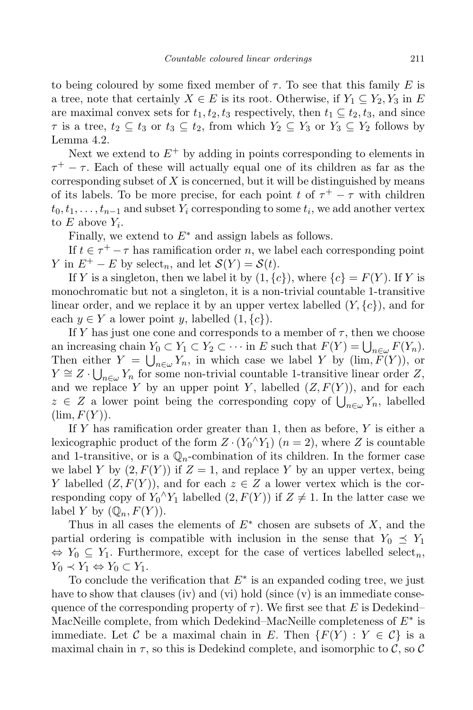to being coloured by some fixed member of  $\tau$ . To see that this family E is a tree, note that certainly  $X \in E$  is its root. Otherwise, if  $Y_1 \subseteq Y_2, Y_3$  in  $E$ are maximal convex sets for  $t_1, t_2, t_3$  respectively, then  $t_1 \subseteq t_2, t_3$ , and since  $\tau$  is a tree,  $t_2 \subseteq t_3$  or  $t_3 \subseteq t_2$ , from which  $Y_2 \subseteq Y_3$  or  $Y_3 \subseteq Y_2$  follows by Lemma 4.2.

Next we extend to  $E^+$  by adding in points corresponding to elements in  $\tau^+ - \tau$ . Each of these will actually equal one of its children as far as the corresponding subset of *X* is concerned, but it will be distinguished by means of its labels. To be more precise, for each point *t* of  $\tau^+ - \tau$  with children  $t_0, t_1, \ldots, t_{n-1}$  and subset  $Y_i$  corresponding to some  $t_i$ , we add another vertex to  $E$  above  $Y_i$ .

Finally, we extend to *E∗* and assign labels as follows.

If  $t \in \tau^+ - \tau$  has ramification order *n*, we label each corresponding point *Y* in  $E^+ - E$  by select<sub>n</sub>, and let  $S(Y) = S(t)$ .

If *Y* is a singleton, then we label it by  $(1, \{c\})$ , where  $\{c\} = F(Y)$ . If *Y* is monochromatic but not a singleton, it is a non-trivial countable 1-transitive linear order, and we replace it by an upper vertex labelled (*Y, {c}*), and for each *y* ∈ *Y* a lower point *y*, labelled  $(1, \{c\})$ .

If *Y* has just one cone and corresponds to a member of  $\tau$ , then we choose an increasing chain  $Y_0 \subset Y_1 \subset Y_2 \subset \cdots$  in  $E$  such that  $F(Y) = \bigcup_{n \in \omega} F(Y_n)$ . Then either  $Y = \bigcup_{n \in \omega} Y_n$ , in which case we label *Y* by (lim,  $\overline{F}(Y)$ ), or *Y*  $\cong$  *Z*  $\cdot \bigcup_{n \in \omega} Y_n$  for some non-trivial countable 1-transitive linear order *Z*, and we replace *Y* by an upper point *Y*, labelled  $(Z, F(Y))$ , and for each *z* ∈ *Z* a lower point being the corresponding copy of  $\bigcup_{n \in \omega} Y_n$ , labelled  $(\lim, F(Y)).$ 

If *Y* has ramification order greater than 1, then as before, *Y* is either a lexicographic product of the form  $Z \cdot (Y_0 \wedge Y_1)$   $(n = 2)$ , where  $Z$  is countable and 1-transitive, or is a  $\mathbb{Q}_n$ -combination of its children. In the former case we label *Y* by  $(2, F(Y))$  if  $Z = 1$ , and replace *Y* by an upper vertex, being *Y* labelled  $(Z, F(Y))$ , and for each  $z \in Z$  a lower vertex which is the corresponding copy of  $Y_0^{\wedge} Y_1$  labelled  $(2, F(Y))$  if  $Z \neq 1$ . In the latter case we label *Y* by  $(\mathbb{Q}_n, F(Y))$ .

Thus in all cases the elements of  $E^*$  chosen are subsets of  $X$ , and the partial ordering is compatible with inclusion in the sense that  $Y_0 \preceq Y_1$  $\Leftrightarrow$  *Y*<sub>0</sub>  $\subseteq$  *Y*<sub>1</sub>. Furthermore, except for the case of vertices labelled select<sub>*n*</sub>, *Y*<sub>0</sub>  $\prec$  *Y*<sub>1</sub>  $\Leftrightarrow$  *Y*<sub>0</sub>  $\subset$  *Y*<sub>1</sub>.

To conclude the verification that *E∗* is an expanded coding tree, we just have to show that clauses (iv) and (vi) hold (since  $(v)$  is an immediate consequence of the corresponding property of  $\tau$ ). We first see that *E* is Dedekind– MacNeille complete, from which Dedekind–MacNeille completeness of *E∗* is immediate. Let C be a maximal chain in E. Then  $\{F(Y): Y \in \mathcal{C}\}$  is a maximal chain in  $\tau$ , so this is Dedekind complete, and isomorphic to  $\mathcal{C}$ , so  $\mathcal{C}$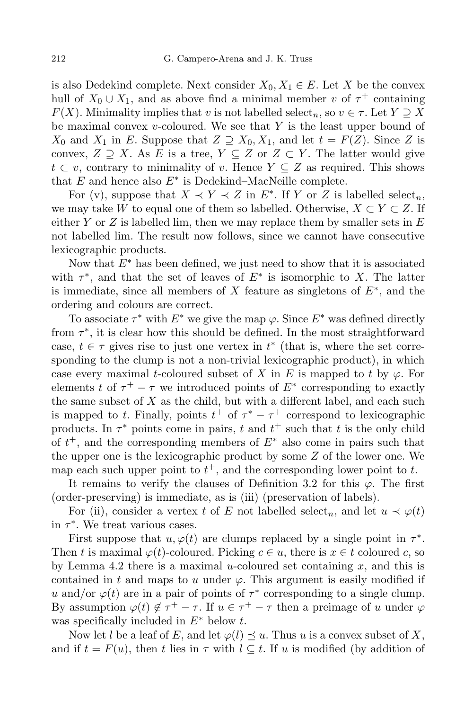is also Dedekind complete. Next consider  $X_0, X_1 \in E$ . Let *X* be the convex hull of  $X_0 \cup X_1$ , and as above find a minimal member *v* of  $\tau^+$  containing *F*(*X*). Minimality implies that *v* is not labelled select<sub>*n*</sub>, so  $v \in \tau$ . Let  $Y \supseteq X$ be maximal convex *v*-coloured. We see that *Y* is the least upper bound of *X*<sub>0</sub> and *X*<sub>1</sub> in *E*. Suppose that  $Z \supseteq X_0, X_1$ , and let  $t = F(Z)$ . Since *Z* is convex,  $Z \supseteq X$ . As  $E$  is a tree,  $Y \subseteq Z$  or  $Z \subset Y$ . The latter would give *t*  $\subset v$ , contrary to minimality of *v*. Hence  $Y \subseteq Z$  as required. This shows that *E* and hence also *E∗* is Dedekind–MacNeille complete.

For (v), suppose that  $X \prec Y \prec Z$  in  $E^*$ . If *Y* or *Z* is labelled select<sub>n</sub>, we may take *W* to equal one of them so labelled. Otherwise,  $X \subset Y \subset Z$ . If either *Y* or *Z* is labelled lim, then we may replace them by smaller sets in *E* not labelled lim. The result now follows, since we cannot have consecutive lexicographic products.

Now that *E∗* has been defined, we just need to show that it is associated with  $\tau^*$ , and that the set of leaves of  $E^*$  is isomorphic to *X*. The latter is immediate, since all members of *X* feature as singletons of *E∗* , and the ordering and colours are correct.

To associate *τ ∗* with *E∗* we give the map *ϕ*. Since *E∗* was defined directly from *τ ∗* , it is clear how this should be defined. In the most straightforward case,  $t \in \tau$  gives rise to just one vertex in  $t^*$  (that is, where the set corresponding to the clump is not a non-trivial lexicographic product), in which case every maximal *t*-coloured subset of *X* in *E* is mapped to *t* by  $\varphi$ . For elements *t* of  $\tau^+ - \tau$  we introduced points of  $E^*$  corresponding to exactly the same subset of *X* as the child, but with a different label, and each such is mapped to *t*. Finally, points  $t^+$  of  $\tau^* - \tau^+$  correspond to lexicographic products. In  $\tau^*$  points come in pairs,  $t$  and  $t^+$  such that  $t$  is the only child of *t* <sup>+</sup>, and the corresponding members of *E<sup>∗</sup>* also come in pairs such that the upper one is the lexicographic product by some *Z* of the lower one. We map each such upper point to  $t^+$ , and the corresponding lower point to  $t$ .

It remains to verify the clauses of Definition 3.2 for this  $\varphi$ . The first (order-preserving) is immediate, as is (iii) (preservation of labels).

For (ii), consider a vertex *t* of *E* not labelled select<sub>n</sub>, and let  $u \prec \varphi(t)$ in *τ ∗* . We treat various cases.

First suppose that  $u, \varphi(t)$  are clumps replaced by a single point in  $\tau^*$ . Then *t* is maximal  $\varphi(t)$ -coloured. Picking  $c \in u$ , there is  $x \in t$  coloured *c*, so by Lemma 4.2 there is a maximal *u*-coloured set containing *x*, and this is contained in  $t$  and maps to  $u$  under  $\varphi$ . This argument is easily modified if *u* and/or  $\varphi(t)$  are in a pair of points of  $\tau^*$  corresponding to a single clump. By assumption  $\varphi(t) \notin \tau^+ - \tau$ . If  $u \in \tau^+ - \tau$  then a preimage of *u* under  $\varphi$ was specifically included in *E∗* below *t*.

Now let *l* be a leaf of *E*, and let  $\varphi(l) \preceq u$ . Thus *u* is a convex subset of *X*, and if  $t = F(u)$ , then *t* lies in  $\tau$  with  $l \subset t$ . If *u* is modified (by addition of